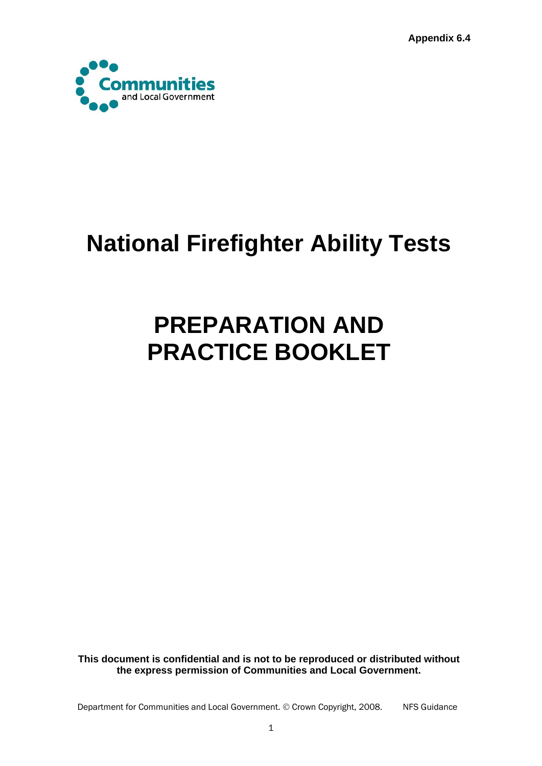**Appendix 6.4** 



# **National Firefighter Ability Tests**

# **PREPARATION AND PRACTICE BOOKLET**

**This document is confidential and is not to be reproduced or distributed without the express permission of Communities and Local Government.**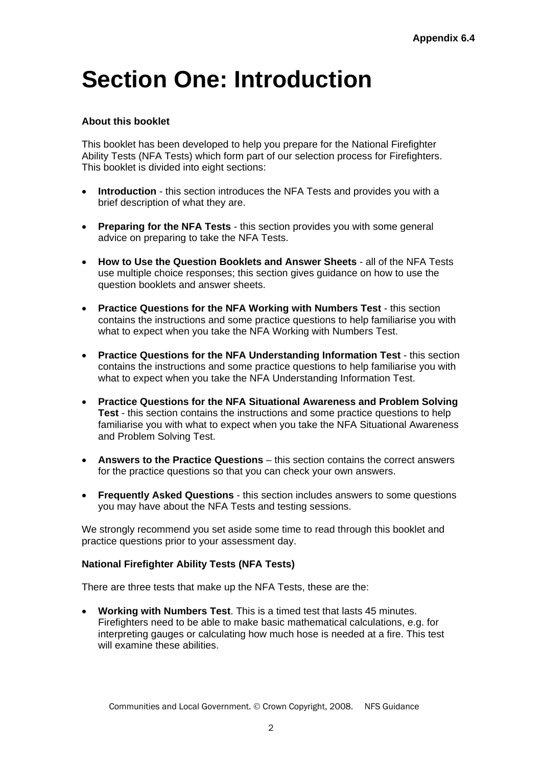## **Section One: Introduction**

### **About this booklet**

This booklet has been developed to help you prepare for the National Firefighter Ability Tests (NFA Tests) which form part of our selection process for Firefighters. This booklet is divided into eight sections:

- **Introduction** this section introduces the NFA Tests and provides you with a brief description of what they are.
- **Preparing for the NFA Tests** this section provides you with some general advice on preparing to take the NFA Tests.
- **How to Use the Question Booklets and Answer Sheets** all of the NFA Tests use multiple choice responses; this section gives guidance on how to use the question booklets and answer sheets.
- **Practice Questions for the NFA Working with Numbers Test** this section contains the instructions and some practice questions to help familiarise you with what to expect when you take the NFA Working with Numbers Test.
- **Practice Questions for the NFA Understanding Information Test** this section contains the instructions and some practice questions to help familiarise you with what to expect when you take the NFA Understanding Information Test.
- **Practice Questions for the NFA Situational Awareness and Problem Solving Test** - this section contains the instructions and some practice questions to help familiarise you with what to expect when you take the NFA Situational Awareness and Problem Solving Test.
- **Answers to the Practice Questions this section contains the correct answers** for the practice questions so that you can check your own answers.
- **Frequently Asked Questions** this section includes answers to some questions you may have about the NFA Tests and testing sessions.

We strongly recommend you set aside some time to read through this booklet and practice questions prior to your assessment day.

#### **National Firefighter Ability Tests (NFA Tests)**

There are three tests that make up the NFA Tests, these are the:

 **Working with Numbers Test**. This is a timed test that lasts 45 minutes. Firefighters need to be able to make basic mathematical calculations, e.g. for interpreting gauges or calculating how much hose is needed at a fire. This test will examine these abilities.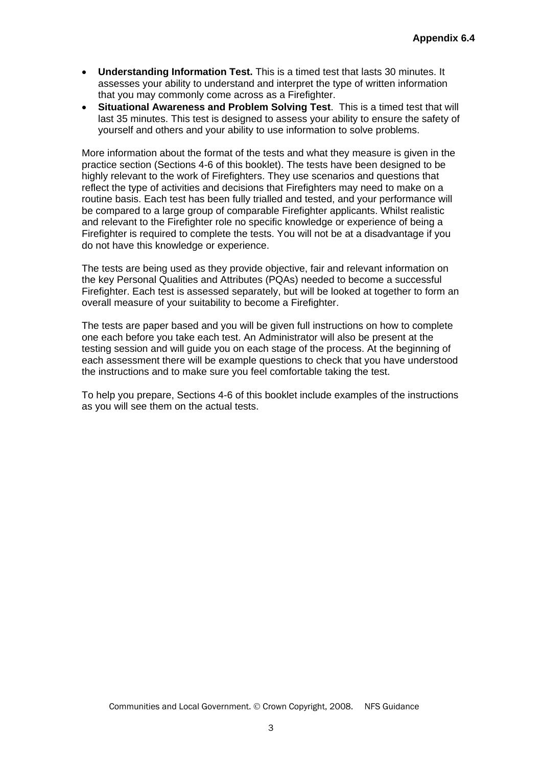- **Understanding Information Test.** This is a timed test that lasts 30 minutes. It assesses your ability to understand and interpret the type of written information that you may commonly come across as a Firefighter.
- **Situational Awareness and Problem Solving Test**. This is a timed test that will last 35 minutes. This test is designed to assess your ability to ensure the safety of yourself and others and your ability to use information to solve problems.

More information about the format of the tests and what they measure is given in the practice section (Sections 4-6 of this booklet). The tests have been designed to be highly relevant to the work of Firefighters. They use scenarios and questions that reflect the type of activities and decisions that Firefighters may need to make on a routine basis. Each test has been fully trialled and tested, and your performance will be compared to a large group of comparable Firefighter applicants. Whilst realistic and relevant to the Firefighter role no specific knowledge or experience of being a Firefighter is required to complete the tests. You will not be at a disadvantage if you do not have this knowledge or experience.

The tests are being used as they provide objective, fair and relevant information on the key Personal Qualities and Attributes (PQAs) needed to become a successful Firefighter. Each test is assessed separately, but will be looked at together to form an overall measure of your suitability to become a Firefighter.

The tests are paper based and you will be given full instructions on how to complete one each before you take each test. An Administrator will also be present at the testing session and will guide you on each stage of the process. At the beginning of each assessment there will be example questions to check that you have understood the instructions and to make sure you feel comfortable taking the test.

To help you prepare, Sections 4-6 of this booklet include examples of the instructions as you will see them on the actual tests.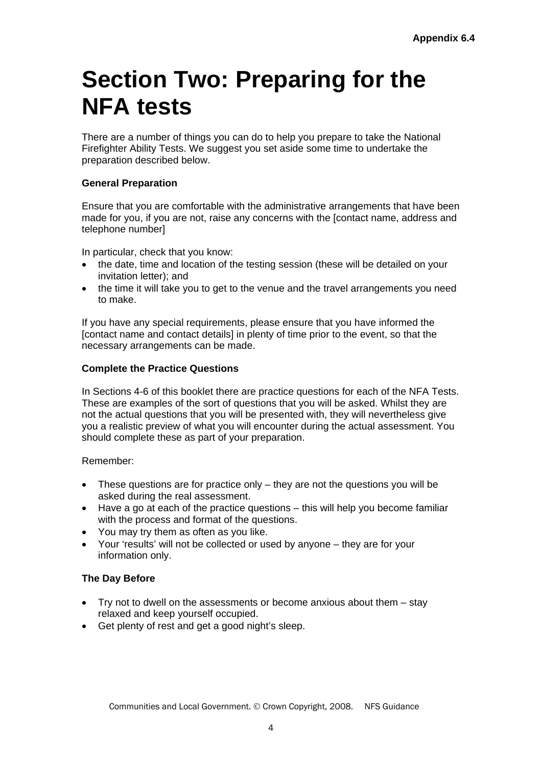## **Section Two: Preparing for the NFA tests**

There are a number of things you can do to help you prepare to take the National Firefighter Ability Tests. We suggest you set aside some time to undertake the preparation described below.

## **General Preparation**

Ensure that you are comfortable with the administrative arrangements that have been made for you, if you are not, raise any concerns with the [contact name, address and telephone number]

In particular, check that you know:

- the date, time and location of the testing session (these will be detailed on your invitation letter); and
- the time it will take you to get to the venue and the travel arrangements you need to make.

If you have any special requirements, please ensure that you have informed the [contact name and contact details] in plenty of time prior to the event, so that the necessary arrangements can be made.

#### **Complete the Practice Questions**

In Sections 4-6 of this booklet there are practice questions for each of the NFA Tests. These are examples of the sort of questions that you will be asked. Whilst they are not the actual questions that you will be presented with, they will nevertheless give you a realistic preview of what you will encounter during the actual assessment. You should complete these as part of your preparation.

Remember:

- These questions are for practice only they are not the questions you will be asked during the real assessment.
- Have a go at each of the practice questions this will help you become familiar with the process and format of the questions.
- You may try them as often as you like.
- Your 'results' will not be collected or used by anyone they are for your information only.

#### **The Day Before**

- Try not to dwell on the assessments or become anxious about them stay relaxed and keep yourself occupied.
- Get plenty of rest and get a good night's sleep.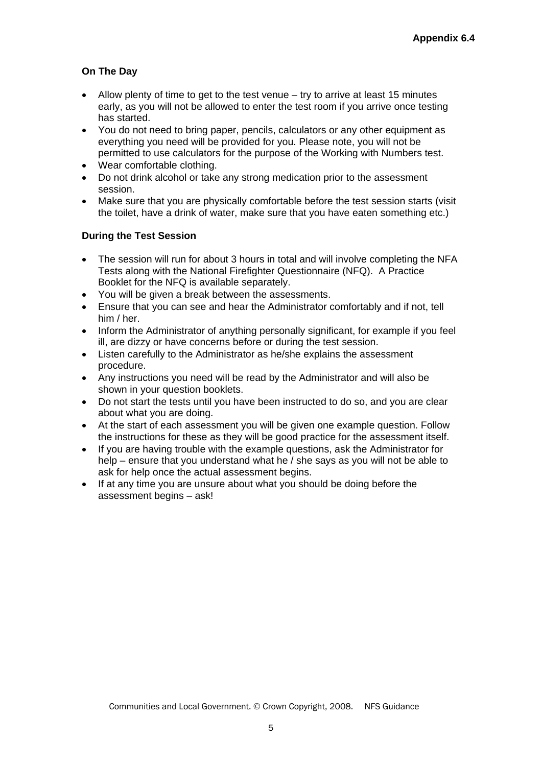## **On The Day**

- Allow plenty of time to get to the test venue try to arrive at least 15 minutes early, as you will not be allowed to enter the test room if you arrive once testing has started.
- You do not need to bring paper, pencils, calculators or any other equipment as everything you need will be provided for you. Please note, you will not be permitted to use calculators for the purpose of the Working with Numbers test.
- Wear comfortable clothing.
- Do not drink alcohol or take any strong medication prior to the assessment session.
- Make sure that you are physically comfortable before the test session starts (visit the toilet, have a drink of water, make sure that you have eaten something etc.)

## **During the Test Session**

- The session will run for about 3 hours in total and will involve completing the NFA Tests along with the National Firefighter Questionnaire (NFQ). A Practice Booklet for the NFQ is available separately.
- You will be given a break between the assessments.
- Ensure that you can see and hear the Administrator comfortably and if not, tell him / her.
- Inform the Administrator of anything personally significant, for example if you feel ill, are dizzy or have concerns before or during the test session.
- Listen carefully to the Administrator as he/she explains the assessment procedure.
- Any instructions you need will be read by the Administrator and will also be shown in your question booklets.
- Do not start the tests until you have been instructed to do so, and you are clear about what you are doing.
- At the start of each assessment you will be given one example question. Follow the instructions for these as they will be good practice for the assessment itself.
- If you are having trouble with the example questions, ask the Administrator for help – ensure that you understand what he / she says as you will not be able to ask for help once the actual assessment begins.
- If at any time you are unsure about what you should be doing before the assessment begins – ask!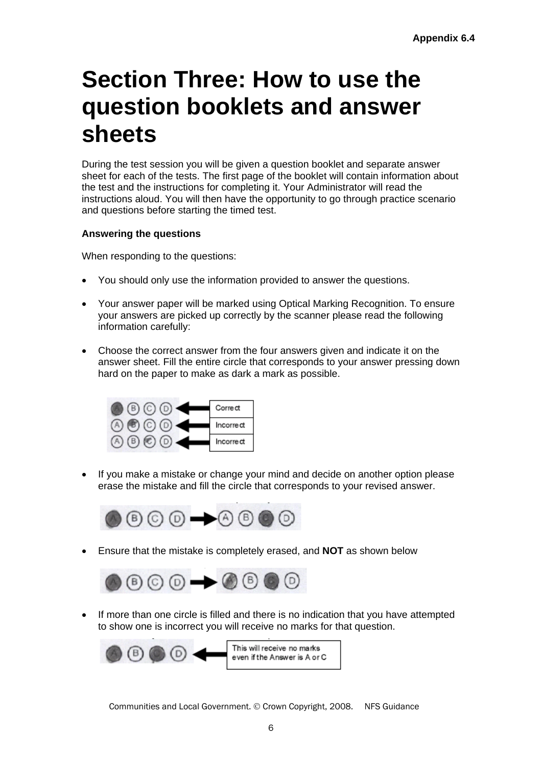## **Section Three: How to use the question booklets and answer sheets**

During the test session you will be given a question booklet and separate answer sheet for each of the tests. The first page of the booklet will contain information about the test and the instructions for completing it. Your Administrator will read the instructions aloud. You will then have the opportunity to go through practice scenario and questions before starting the timed test.

## **Answering the questions**

When responding to the questions:

- You should only use the information provided to answer the questions.
- Your answer paper will be marked using Optical Marking Recognition. To ensure your answers are picked up correctly by the scanner please read the following information carefully:
- Choose the correct answer from the four answers given and indicate it on the answer sheet. Fill the entire circle that corresponds to your answer pressing down hard on the paper to make as dark a mark as possible.



• If you make a mistake or change your mind and decide on another option please erase the mistake and fill the circle that corresponds to your revised answer.



Ensure that the mistake is completely erased, and **NOT** as shown below



 If more than one circle is filled and there is no indication that you have attempted to show one is incorrect you will receive no marks for that question.

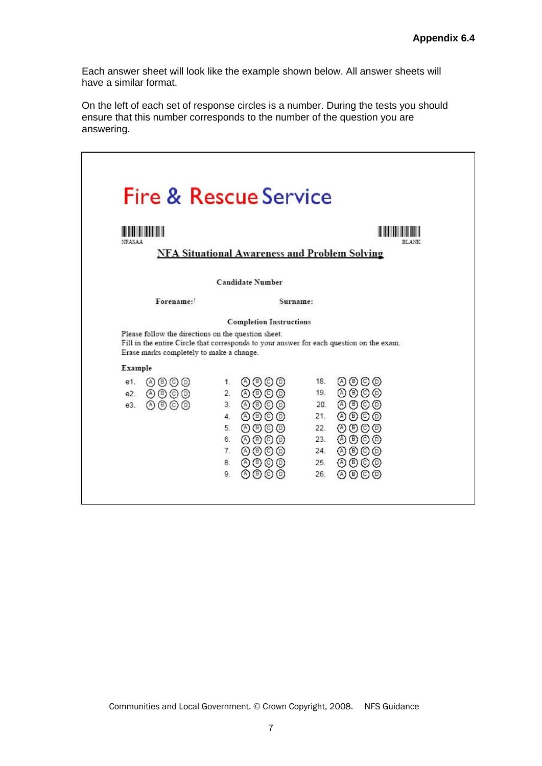Each answer sheet will look like the example shown below. All answer sheets will have a similar format.

On the left of each set of response circles is a number. During the tests you should ensure that this number corresponds to the number of the question you are answering.

| <b>The Common Service</b><br><b>NEASAA</b>                                                      |                                                                                                                                      | RLANK                                                                                                                         |
|-------------------------------------------------------------------------------------------------|--------------------------------------------------------------------------------------------------------------------------------------|-------------------------------------------------------------------------------------------------------------------------------|
|                                                                                                 | <b>NFA Situational Awareness and Problem Solving</b>                                                                                 |                                                                                                                               |
|                                                                                                 | <b>Candidate Number</b>                                                                                                              |                                                                                                                               |
| Forename:                                                                                       | Surname:                                                                                                                             |                                                                                                                               |
| Please follow the directions on the question sheet.<br>Erase marks completely to make a change. | <b>Completion Instructions</b>                                                                                                       | Fill in the entire Circle that corresponds to your answer for each question on the exam.                                      |
| Example                                                                                         |                                                                                                                                      |                                                                                                                               |
| 0000<br>e1.<br>$\circledcirc \circledcirc$<br>e2.<br>0000<br>e3.                                | のののの<br>1.<br>0000<br>2.<br>3.<br>④⑤◎◎<br>AOOO<br>4<br>5.<br>$\circledcirc$ $\circledcirc$ $\circledcirc$<br>のののの<br>6.<br>④⑤◎<br>7. | のののの<br>18.<br>のののの<br>19.<br>のののの<br>20.<br>のののの<br>21.<br>22.<br>(A) (B) (O) (D)<br>A)<br>$(5)$ $(0)$<br>23.<br>のののの<br>24. |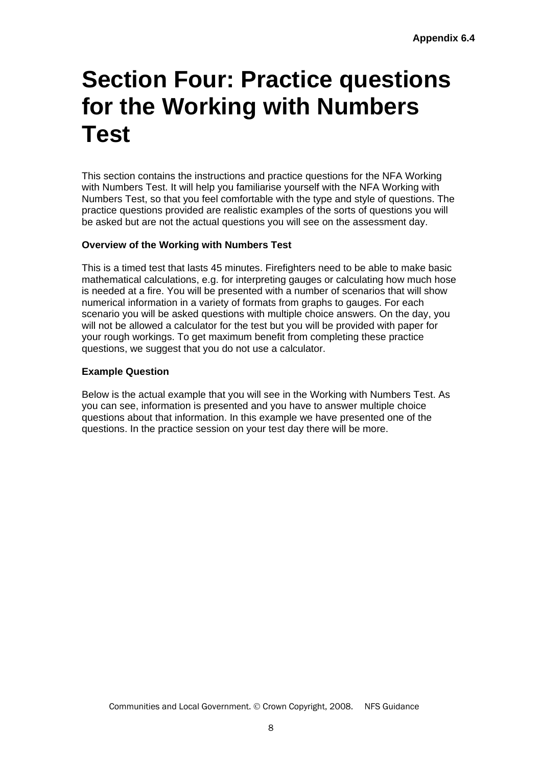## **Section Four: Practice questions for the Working with Numbers Test**

This section contains the instructions and practice questions for the NFA Working with Numbers Test. It will help you familiarise yourself with the NFA Working with Numbers Test, so that you feel comfortable with the type and style of questions. The practice questions provided are realistic examples of the sorts of questions you will be asked but are not the actual questions you will see on the assessment day.

## **Overview of the Working with Numbers Test**

This is a timed test that lasts 45 minutes. Firefighters need to be able to make basic mathematical calculations, e.g. for interpreting gauges or calculating how much hose is needed at a fire. You will be presented with a number of scenarios that will show numerical information in a variety of formats from graphs to gauges. For each scenario you will be asked questions with multiple choice answers. On the day, you will not be allowed a calculator for the test but you will be provided with paper for your rough workings. To get maximum benefit from completing these practice questions, we suggest that you do not use a calculator.

#### **Example Question**

Below is the actual example that you will see in the Working with Numbers Test. As you can see, information is presented and you have to answer multiple choice questions about that information. In this example we have presented one of the questions. In the practice session on your test day there will be more.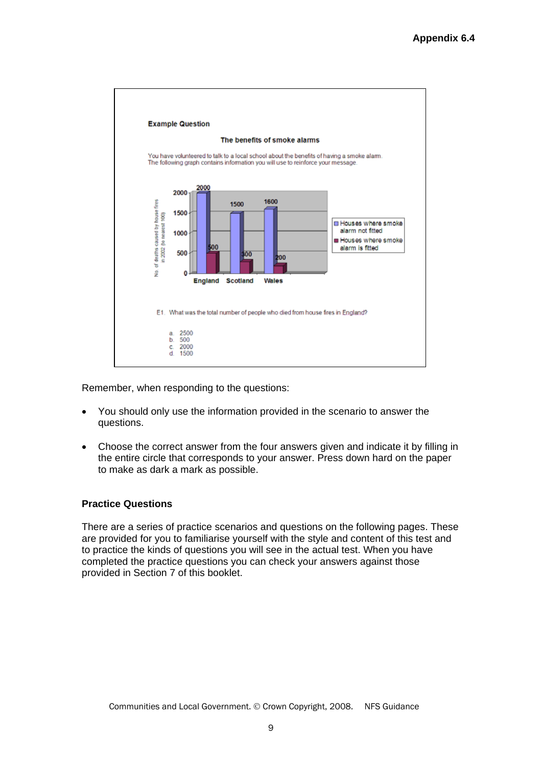

Remember, when responding to the questions:

- You should only use the information provided in the scenario to answer the questions.
- Choose the correct answer from the four answers given and indicate it by filling in the entire circle that corresponds to your answer. Press down hard on the paper to make as dark a mark as possible.

#### **Practice Questions**

There are a series of practice scenarios and questions on the following pages. These are provided for you to familiarise yourself with the style and content of this test and to practice the kinds of questions you will see in the actual test. When you have completed the practice questions you can check your answers against those provided in Section 7 of this booklet.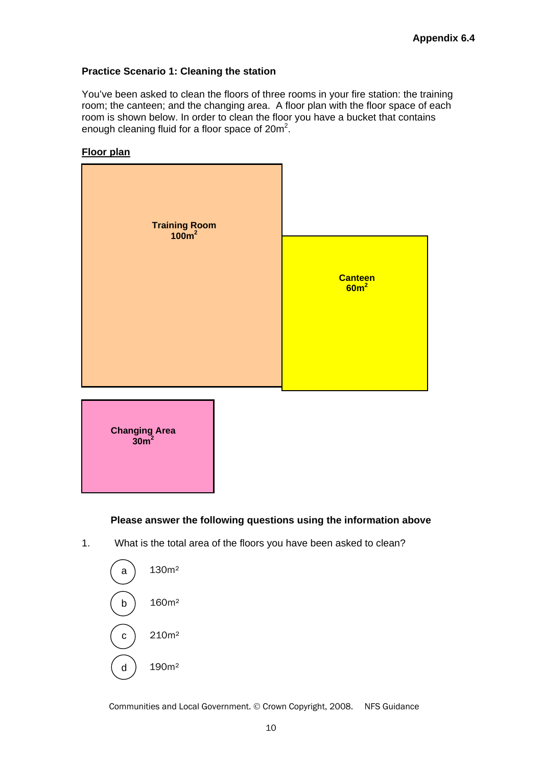## **Practice Scenario 1: Cleaning the station**

You've been asked to clean the floors of three rooms in your fire station: the training room; the canteen; and the changing area. A floor plan with the floor space of each room is shown below. In order to clean the floor you have a bucket that contains enough cleaning fluid for a floor space of  $20m^2$ .







## **Please answer the following questions using the information above**

1. What is the total area of the floors you have been asked to clean?

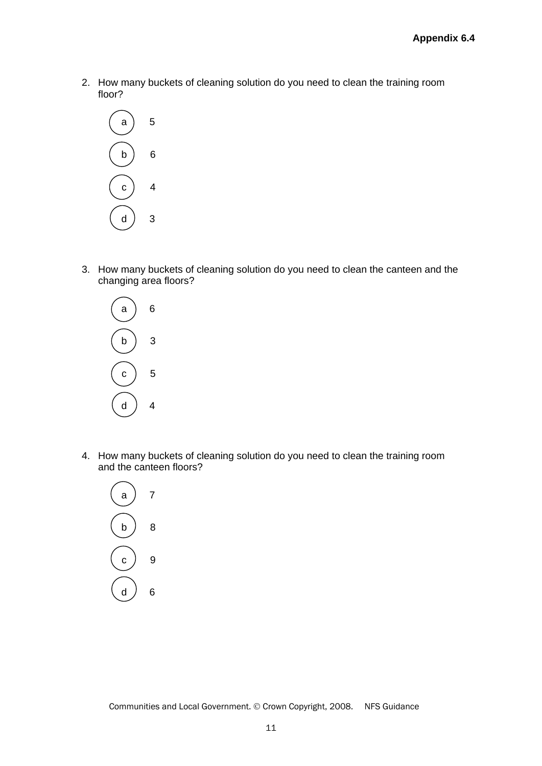2. How many buckets of cleaning solution do you need to clean the training room floor?



3. How many buckets of cleaning solution do you need to clean the canteen and the changing area floors?



4. How many buckets of cleaning solution do you need to clean the training room and the canteen floors?

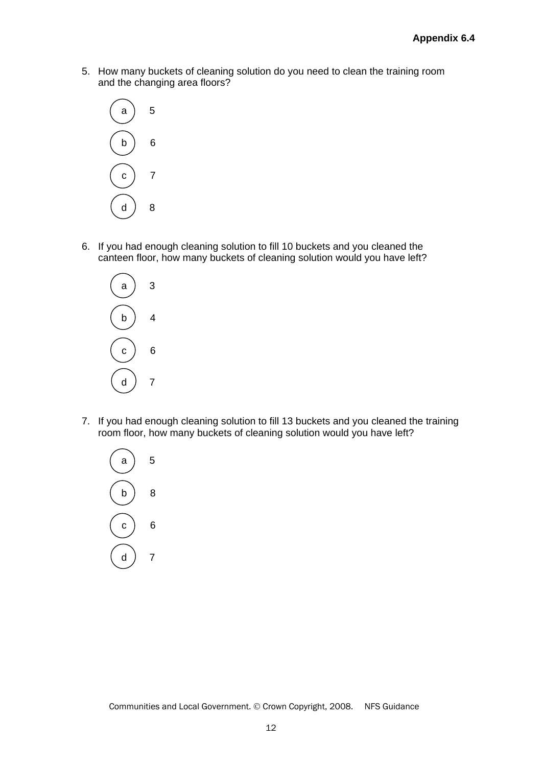5. How many buckets of cleaning solution do you need to clean the training room and the changing area floors?



6. If you had enough cleaning solution to fill 10 buckets and you cleaned the canteen floor, how many buckets of cleaning solution would you have left?



7. If you had enough cleaning solution to fill 13 buckets and you cleaned the training room floor, how many buckets of cleaning solution would you have left?

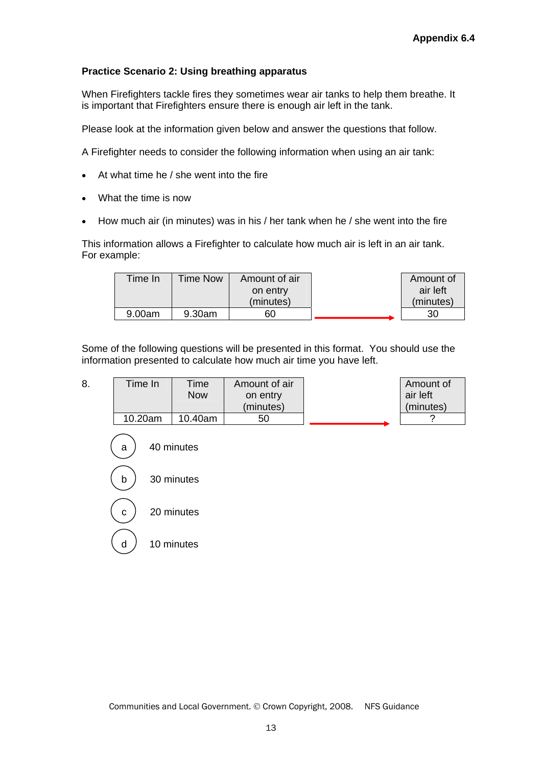## **Practice Scenario 2: Using breathing apparatus**

When Firefighters tackle fires they sometimes wear air tanks to help them breathe. It is important that Firefighters ensure there is enough air left in the tank.

Please look at the information given below and answer the questions that follow.

A Firefighter needs to consider the following information when using an air tank:

- At what time he / she went into the fire
- What the time is now
- How much air (in minutes) was in his / her tank when he / she went into the fire

This information allows a Firefighter to calculate how much air is left in an air tank. For example:

| Time In | Time Now | Amount of air | Amount of |
|---------|----------|---------------|-----------|
|         |          | on entry      | air left  |
|         |          | (minutes)     | (minutes) |
| 9.00am  | 9.30am   | 60            | 30        |

Some of the following questions will be presented in this format. You should use the information presented to calculate how much air time you have left.

| 8. | Time In | Time<br>Now | Amount of air<br>on entry<br>(minutes) | Amount of<br>air left<br>(minutes) |
|----|---------|-------------|----------------------------------------|------------------------------------|
|    |         |             |                                        |                                    |
|    | 10.20am | 10.40am     | 50                                     |                                    |

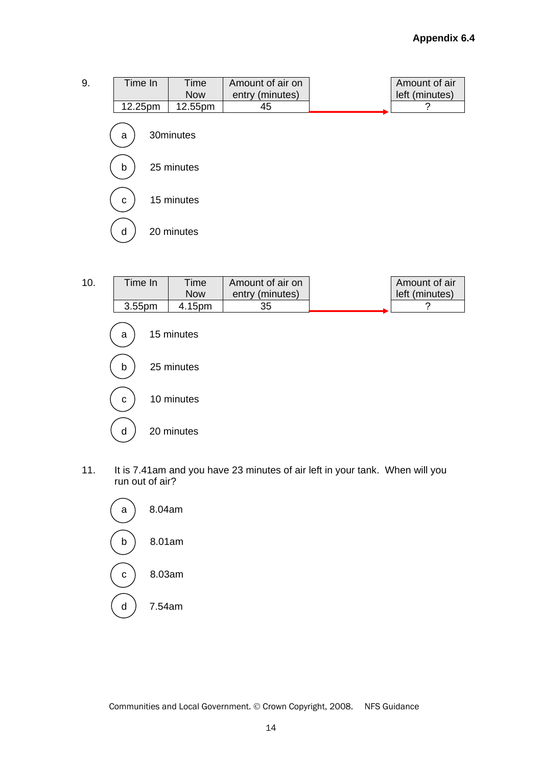9. Time In Time Now Amount of air on entry (minutes) Amount of air left (minutes) 12.25pm 12.55pm 45 ? a 30minutes  $\overline{a}$ b ) 25 minutes  $\overline{\phantom{a}}$ c  $\vert$  15 minutes Į d 20 minutes



11. It is 7.41am and you have 23 minutes of air left in your tank. When will you run out of air?

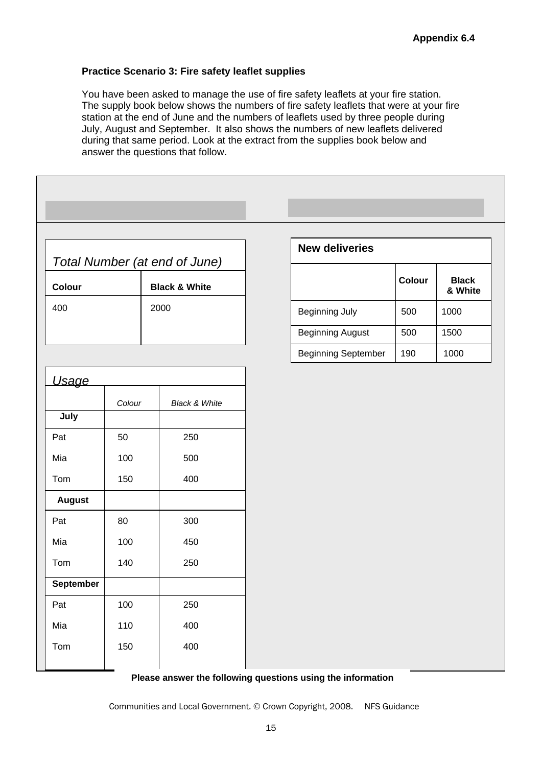#### **Practice Scenario 3: Fire safety leaflet supplies**

You have been asked to manage the use of fire safety leaflets at your fire station. The supply book below shows the numbers of fire safety leaflets that were at your fire station at the end of June and the numbers of leaflets used by three people during July, August and September. It also shows the numbers of new leaflets delivered during that same period. Look at the extract from the supplies book below and answer the questions that follow.

|                           |                            | Total Number (at end of June)                 | <b>New deliveries</b>      |               |                         |
|---------------------------|----------------------------|-----------------------------------------------|----------------------------|---------------|-------------------------|
| Colour                    |                            | <b>Black &amp; White</b>                      |                            | <b>Colour</b> | <b>Black</b><br>& White |
| 400                       |                            | 2000                                          | <b>Beginning July</b>      | 500           | 1000                    |
|                           |                            |                                               | <b>Beginning August</b>    | 500           | 1500                    |
|                           |                            |                                               | <b>Beginning September</b> | 190           | 1000                    |
| July<br>Pat<br>Mia<br>Tom | Colour<br>50<br>100<br>150 | <b>Black &amp; White</b><br>250<br>500<br>400 |                            |               |                         |
| <b>August</b>             |                            |                                               |                            |               |                         |
| Pat                       | 80                         | 300                                           |                            |               |                         |
| Mia                       | 100                        | 450                                           |                            |               |                         |
| Tom                       | 140                        | 250                                           |                            |               |                         |
| September                 |                            |                                               |                            |               |                         |
| Pat                       | 100                        | 250                                           |                            |               |                         |
| Mia                       | 110                        | 400                                           |                            |               |                         |
| Tom                       | 150                        | 400                                           |                            |               |                         |

#### **Please answer the following questions using the information**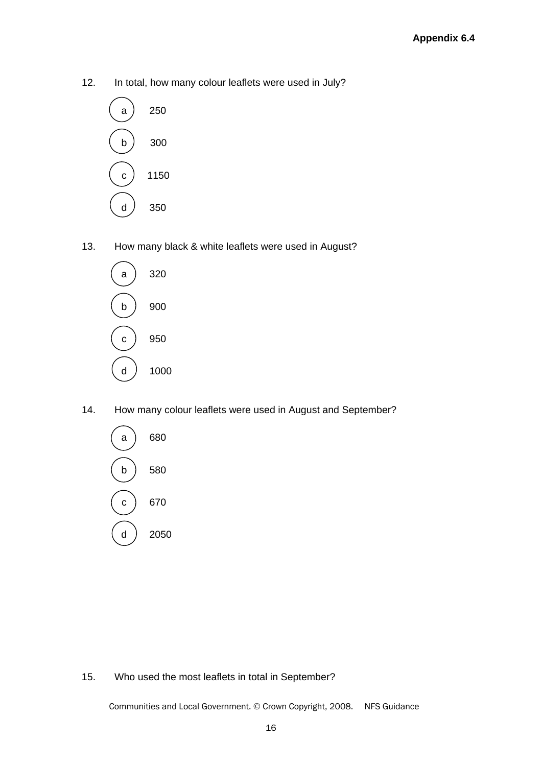12. In total, how many colour leaflets were used in July?



13. How many black & white leaflets were used in August?



14. How many colour leaflets were used in August and September?



15. Who used the most leaflets in total in September?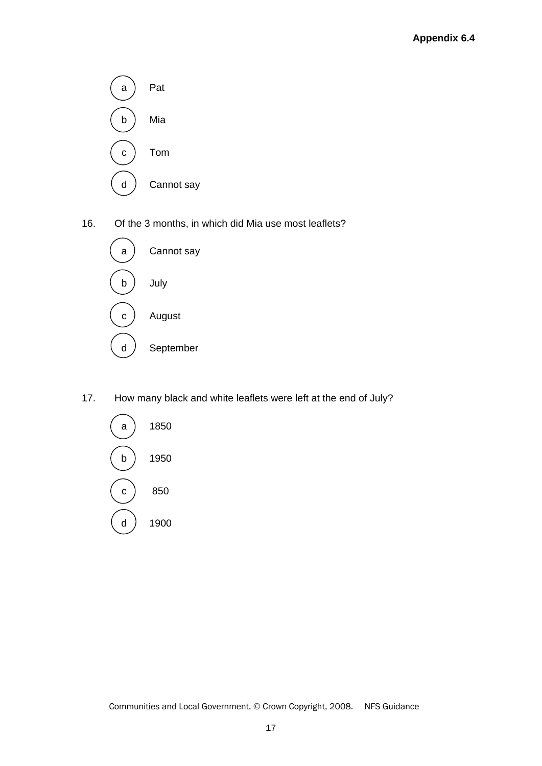

16. Of the 3 months, in which did Mia use most leaflets?



17. How many black and white leaflets were left at the end of July?

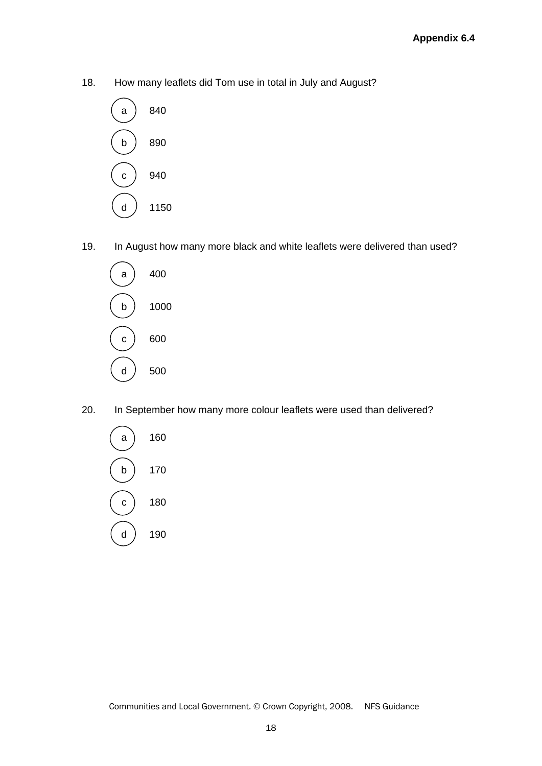18. How many leaflets did Tom use in total in July and August?



19. In August how many more black and white leaflets were delivered than used?



20. In September how many more colour leaflets were used than delivered?

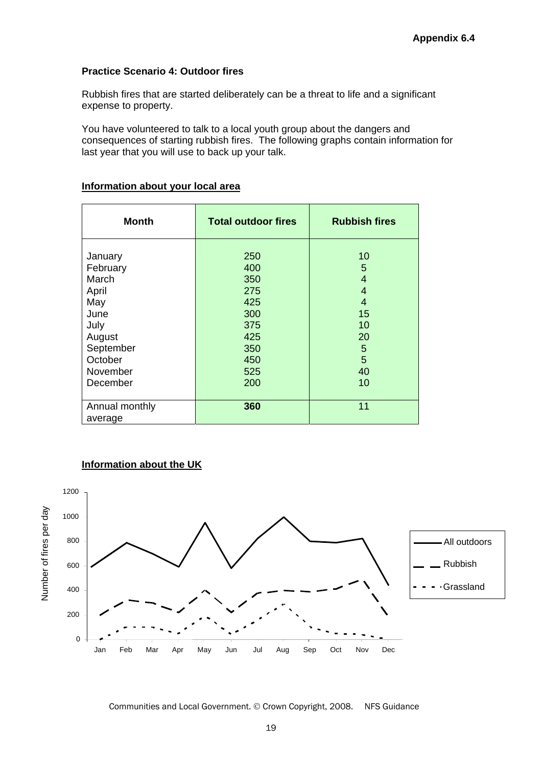#### **Practice Scenario 4: Outdoor fires**

Rubbish fires that are started deliberately can be a threat to life and a significant expense to property.

You have volunteered to talk to a local youth group about the dangers and consequences of starting rubbish fires. The following graphs contain information for last year that you will use to back up your talk.

| <b>Month</b>                                                                                               | <b>Total outdoor fires</b>                                                | <b>Rubbish fires</b>                                     |
|------------------------------------------------------------------------------------------------------------|---------------------------------------------------------------------------|----------------------------------------------------------|
| January<br>February<br>March<br>April<br>May<br>June<br>July<br>August<br>September<br>October<br>November | 250<br>400<br>350<br>275<br>425<br>300<br>375<br>425<br>350<br>450<br>525 | 10<br>5<br>4<br>4<br>4<br>15<br>10<br>20<br>5<br>5<br>40 |
| December                                                                                                   | 200                                                                       | 10                                                       |
| Annual monthly<br>average                                                                                  | 360                                                                       | 11                                                       |

#### **Information about your local area**



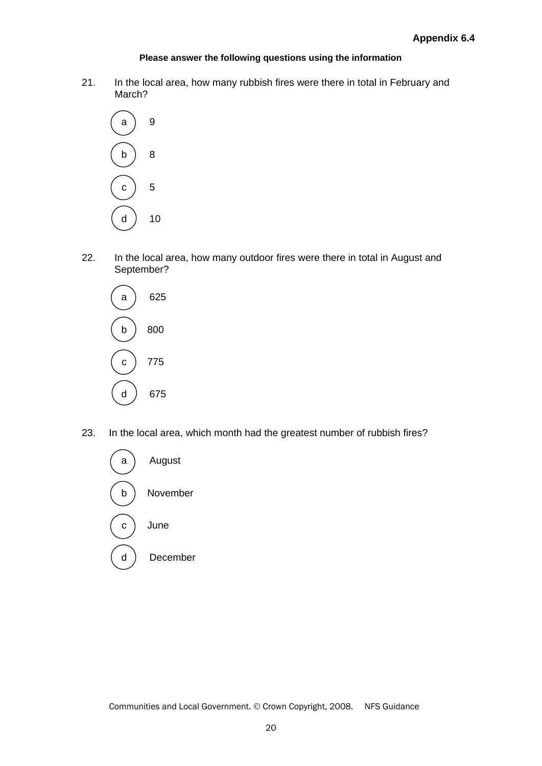#### **Please answer the following questions using the information**

21. In the local area, how many rubbish fires were there in total in February and March?



22. In the local area, how many outdoor fires were there in total in August and September?



23. In the local area, which month had the greatest number of rubbish fires?

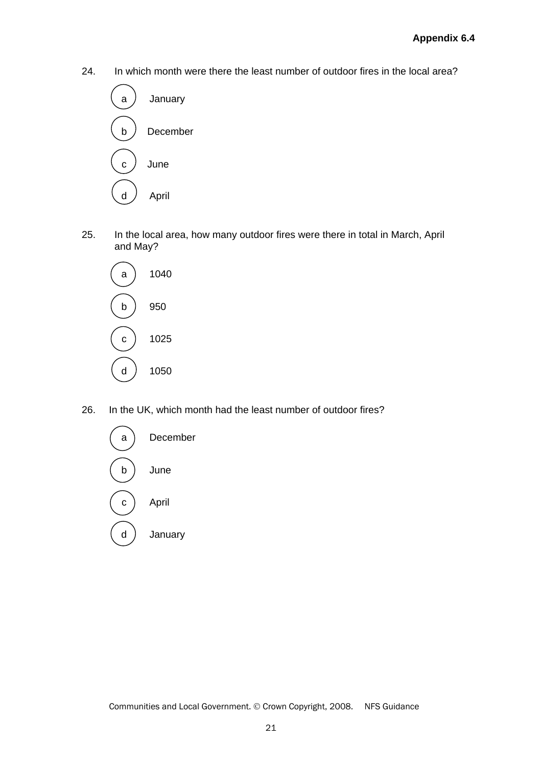24. In which month were there the least number of outdoor fires in the local area?



25. In the local area, how many outdoor fires were there in total in March, April and May?



26. In the UK, which month had the least number of outdoor fires?

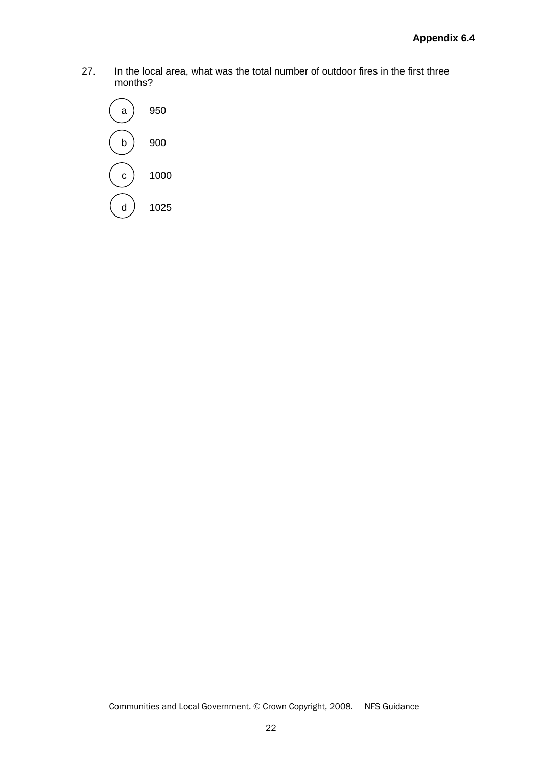27. In the local area, what was the total number of outdoor fires in the first three months?

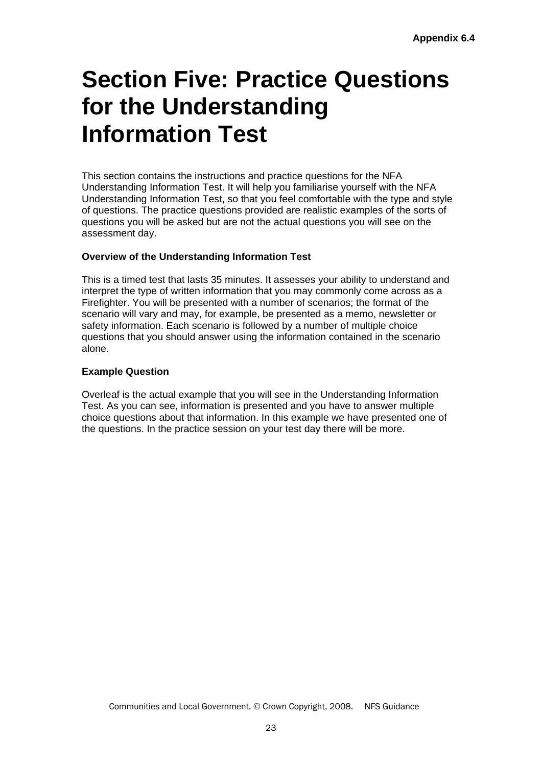## **Section Five: Practice Questions for the Understanding Information Test**

This section contains the instructions and practice questions for the NFA Understanding Information Test. It will help you familiarise yourself with the NFA Understanding Information Test, so that you feel comfortable with the type and style of questions. The practice questions provided are realistic examples of the sorts of questions you will be asked but are not the actual questions you will see on the assessment day.

## **Overview of the Understanding Information Test**

This is a timed test that lasts 35 minutes. It assesses your ability to understand and interpret the type of written information that you may commonly come across as a Firefighter. You will be presented with a number of scenarios; the format of the scenario will vary and may, for example, be presented as a memo, newsletter or safety information. Each scenario is followed by a number of multiple choice questions that you should answer using the information contained in the scenario alone.

#### **Example Question**

Overleaf is the actual example that you will see in the Understanding Information Test. As you can see, information is presented and you have to answer multiple choice questions about that information. In this example we have presented one of the questions. In the practice session on your test day there will be more.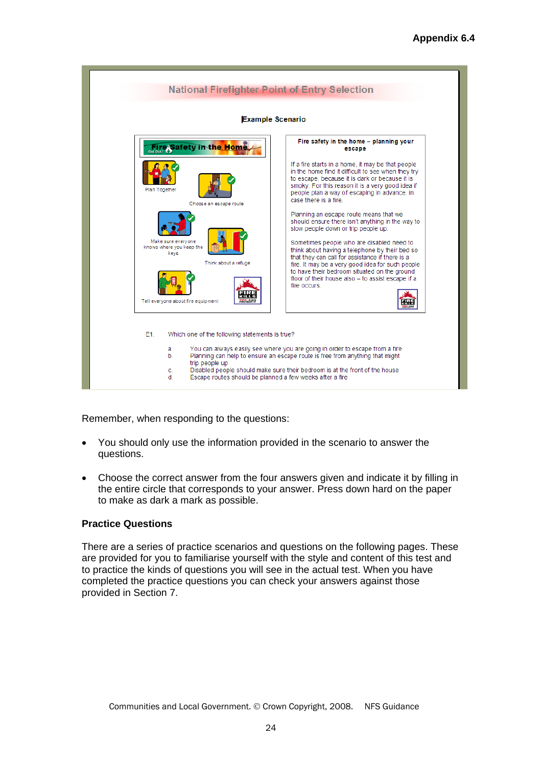

Remember, when responding to the questions:

- You should only use the information provided in the scenario to answer the questions.
- Choose the correct answer from the four answers given and indicate it by filling in the entire circle that corresponds to your answer. Press down hard on the paper to make as dark a mark as possible.

#### **Practice Questions**

There are a series of practice scenarios and questions on the following pages. These are provided for you to familiarise yourself with the style and content of this test and to practice the kinds of questions you will see in the actual test. When you have completed the practice questions you can check your answers against those provided in Section 7.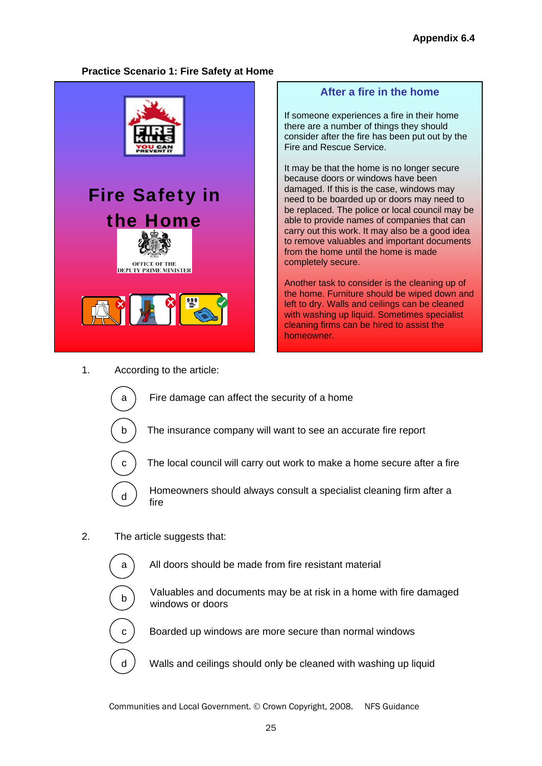**After a fire in the home** 

If someone experiences a fire in their home there are a number of things they should consider after the fire has been put out by the

It may be that the home is no longer secure because doors or windows have been damaged. If this is the case, windows may need to be boarded up or doors may need to be replaced. The police or local council may be able to provide names of companies that can carry out this work. It may also be a good idea to remove valuables and important documents

from the home until the home is made

Another task to consider is the cleaning up of the home. Furniture should be wiped down and left to dry. Walls and ceilings can be cleaned with washing up liquid. Sometimes specialist cleaning firms can be hired to assist the

Fire and Rescue Service.

completely secure.

homeowner.

## **Practice Scenario 1: Fire Safety at Home**









## 1. According to the article:



a  $\overline{a}$  Fire damage can affect the security of a home

b ) The insurance company will want to see an accurate fire report



Ĺ

 $\overline{a}$ 

 $\overline{a}$ 

c  $\vert$  The local council will carry out work to make a home secure after a fire



2. The article suggests that:

 $a \cap A$ ll doors should be made from fire resistant material

 $\mathbf{b}$  Valuables and documents may be at risk in a home with fire damaged windows or doors

 $c$ ) Boarded up windows are more secure than normal windows

 $d$  Walls and ceilings should only be cleaned with washing up liquid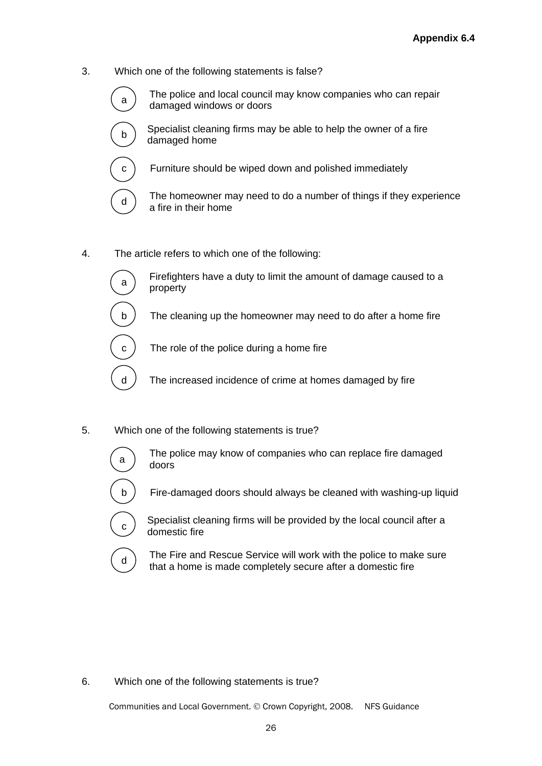3. Which one of the following statements is false?



 $\sigma$  The police and local council may know companies who can repair damaged windows or doors



Specialist cleaning firms may be able to help the owner of a fire damaged home



 $c$ ) Furniture should be wiped down and polished immediately

 $\mathcal{L}_{d}$  The homeowner may need to do a number of things if they experience a fire in their home

4. The article refers to which one of the following:



 $\mathsf{a}$  Firefighters have a duty to limit the amount of damage caused to a property

b  $\overline{a}$  The cleaning up the homeowner may need to do after a home fire



 $c$ ) The role of the police during a home fire

 $d$  ) The increased incidence of crime at homes damaged by fire

5. Which one of the following statements is true?



 $\mathcal{F}_{\mathbf{a}}$  The police may know of companies who can replace fire damaged doors



b ) Fire-damaged doors should always be cleaned with washing-up liquid



 $\sigma$ ) Specialist cleaning firms will be provided by the local council after a domestic fire

 $\sigma$  The Fire and Rescue Service will work with the police to make sure that a home is made completely secure after a domestic fire

## 6. Which one of the following statements is true?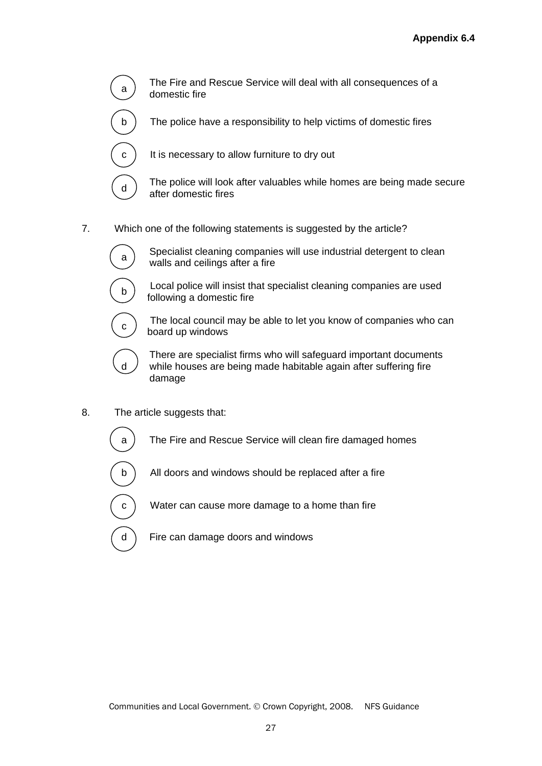

 $\sigma$  The Fire and Rescue Service will deal with all consequences of a domestic fire

The police have a responsibility to help victims of domestic fires

 $c$ ) It is necessary to allow furniture to dry out

 $\begin{bmatrix} d \end{bmatrix}$  The police will look after valuables while homes are being made secure after domestic fires

7. Which one of the following statements is suggested by the article?



 $\mathbf{a}$  Specialist cleaning companies will use industrial detergent to clean walls and ceilings after a fire



 $\mathbf{b}$  Local police will insist that specialist cleaning companies are used following a domestic fire



 $\epsilon$ ) The local council may be able to let you know of companies who can board up windows



 $\overline{a}$ 

ĺ

 $\overline{\phantom{a}}$ 

 There are specialist firms who will safeguard important documents while houses are being made habitable again after suffering fire damage

8. The article suggests that:

a ) The Fire and Rescue Service will clean fire damaged homes

- b ) All doors and windows should be replaced after a fire
- $c$ ) Water can cause more damage to a home than fire
- d ) Fire can damage doors and windows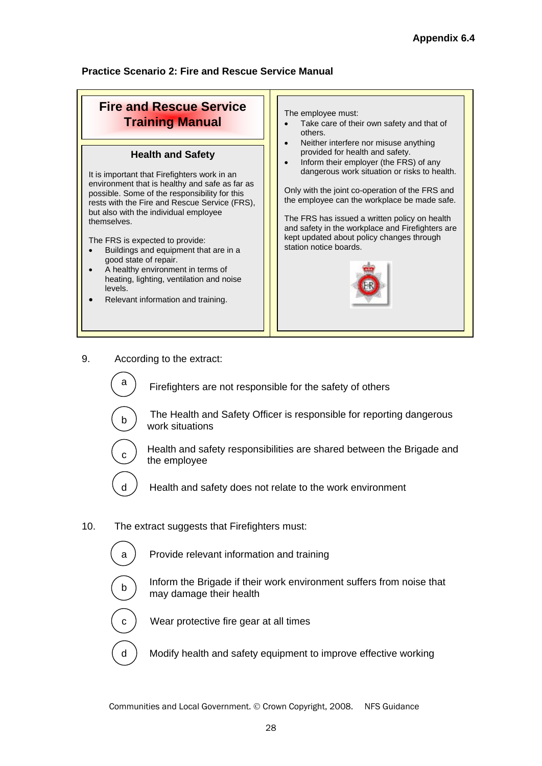## **Practice Scenario 2: Fire and Rescue Service Manual**

#### **Fire and Rescue Service Training Manual Health and Safety** It is important that Firefighters work in an environment that is healthy and safe as far as possible. Some of the responsibility for this rests with the Fire and Rescue Service (FRS), but also with the individual employee themselves. The FRS is expected to provide: Buildings and equipment that are in a good state of repair. A healthy environment in terms of heating, lighting, ventilation and noise levels. Relevant information and training. The employee must: • Take care of their own safety and that of others. • Neither interfere nor misuse anything provided for health and safety. • Inform their employer (the FRS) of any dangerous work situation or risks to health. Only with the joint co-operation of the FRS and the employee can the workplace be made safe. The FRS has issued a written policy on health and safety in the workplace and Firefighters are kept updated about policy changes through station notice boards.

9. According to the extract:



 $\sigma$   $\sigma$  Firefighters are not responsible for the safety of others



The Health and Safety Officer is responsible for reporting dangerous work situations



 $\epsilon$ ) Health and safety responsibilities are shared between the Brigade and the employee

 $d \neq$  Health and safety does not relate to the work environment

- 10. The extract suggests that Firefighters must:
	- a ) Provide relevant information and training
	- $\overline{\phantom{a}}$

 $\begin{bmatrix} \mathbf{b} \end{bmatrix}$  Inform the Brigade if their work environment suffers from noise that may damage their health



c Wear protective fire gear at all times

d ) Modify health and safety equipment to improve effective working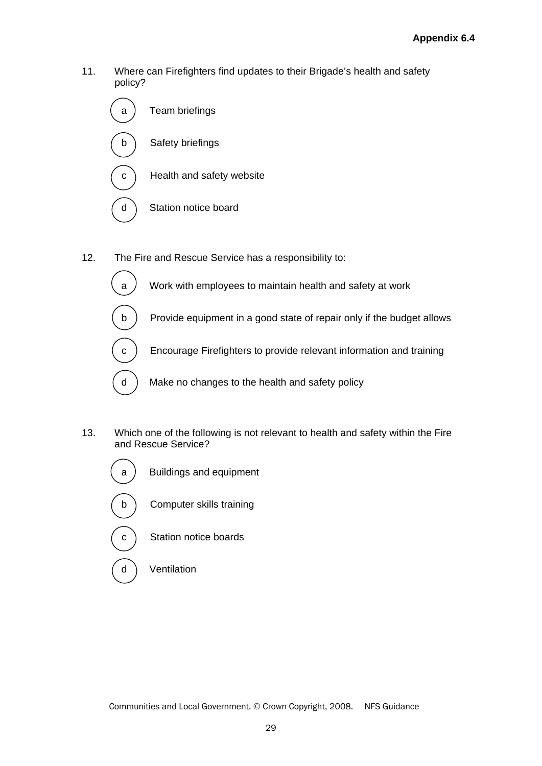11. Where can Firefighters find updates to their Brigade's health and safety policy?



 $\overline{a}$ 

 $\overline{\phantom{a}}$ 

 $\overline{a}$ 

- 12. The Fire and Rescue Service has a responsibility to:
	- $a$   $\ell$  Work with employees to maintain health and safety at work
	- b ) Provide equipment in a good state of repair only if the budget allows
	- c ) Encourage Firefighters to provide relevant information and training
	- d ) Make no changes to the health and safety policy
- 13. Which one of the following is not relevant to health and safety within the Fire and Rescue Service?
	- a ) Buildings and equipment J b Computer skills training Í  $c$  Station notice boards  $\overline{\phantom{a}}$ 
		- d Ventilation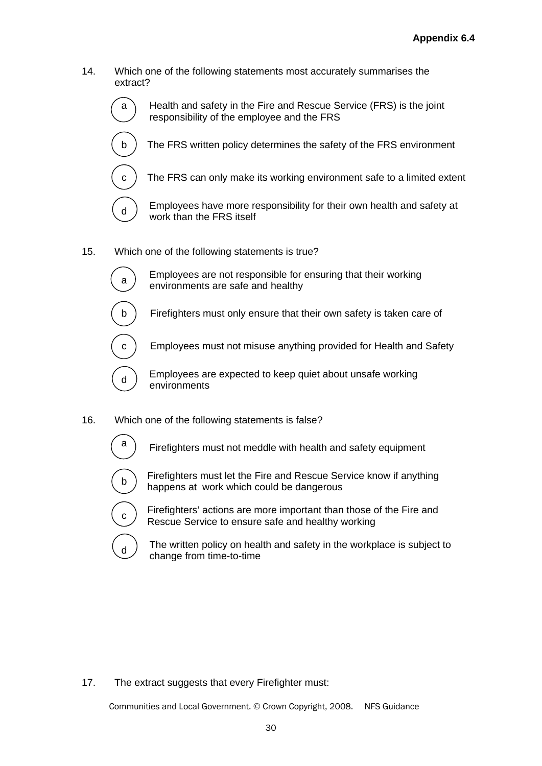14. Which one of the following statements most accurately summarises the extract?



- 15. Which one of the following statements is true?
	- $\overline{\phantom{a}}$

 $\overline{a}$ 

-<br>-

a Employees are not responsible for ensuring that their working environments are safe and healthy

- b ) Firefighters must only ensure that their own safety is taken care of
	- Employees must not misuse anything provided for Health and Safety

 $\mathsf{d}$  Employees are expected to keep quiet about unsafe working environments

- 16. Which one of the following statements is false?
	- $\overline{a}$

 $\sigma$ ) Firefighters must not meddle with health and safety equipment

Firefighters must let the Fire and Rescue Service know if anything happens at work which could be dangerous



 $\epsilon$ ) Firefighters' actions are more important than those of the Fire and Rescue Service to ensure safe and healthy working

 $\sigma$ ) The written policy on health and safety in the workplace is subject to change from time-to-time

17. The extract suggests that every Firefighter must: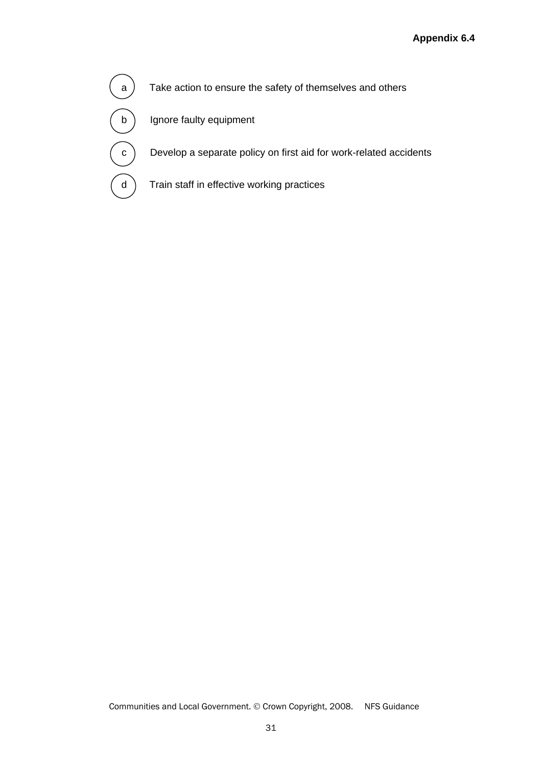$\mathsf{a}$  ) Take action to ensure the safety of themselves and others  $\overline{a}$ b ) Ignore faulty equipment ĺ

Develop a separate policy on first aid for work-related accidents

d ) Train staff in effective working practices

 $\overline{\phantom{a}}$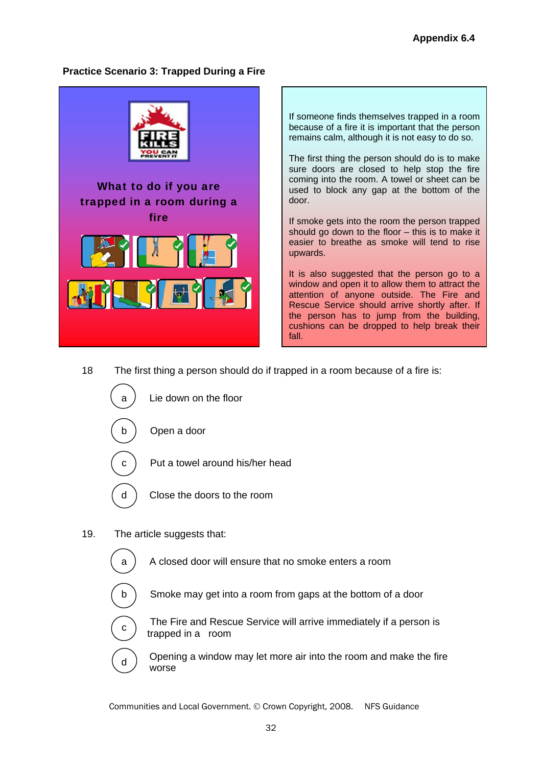## **Practice Scenario 3: Trapped During a Fire**



If someone finds themselves trapped in a room because of a fire it is important that the person remains calm, although it is not easy to do so.

The first thing the person should do is to make sure doors are closed to help stop the fire coming into the room. A towel or sheet can be used to block any gap at the bottom of the door.

If smoke gets into the room the person trapped should go down to the floor – this is to make it easier to breathe as smoke will tend to rise upwards.

It is also suggested that the person go to a window and open it to allow them to attract the attention of anyone outside. The Fire and Rescue Service should arrive shortly after. If the person has to jump from the building, cushions can be dropped to help break their fall.

18 The first thing a person should do if trapped in a room because of a fire is:



19. The article suggests that:

l

Í

-

- $a$   $A$  closed door will ensure that no smoke enters a room
	- Smoke may get into a room from gaps at the bottom of a door
	- The Fire and Rescue Service will arrive immediately if a person is trapped in a room
- $\mathbf{d}$  Opening a window may let more air into the room and make the fire worse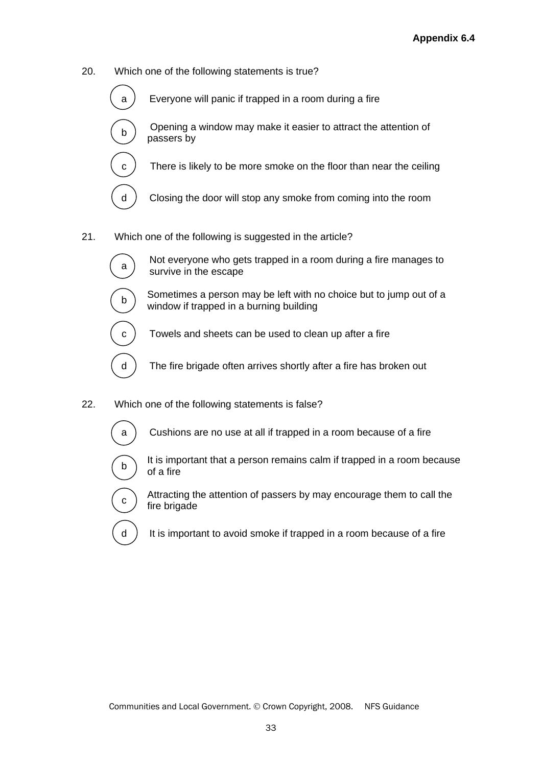- 20. Which one of the following statements is true?
	- a  $\ell$  Everyone will panic if trapped in a room during a fire
		- <sup>b</sup>Opening a window may make it easier to attract the attention of passers by
	- c  $\overline{c}$  There is likely to be more smoke on the floor than near the ceiling
	- d ) Closing the door will stop any smoke from coming into the room
- 21. Which one of the following is suggested in the article?
	-

j

 $\overline{a}$ 

 $\overline{a}$ 

 $\overline{a}$ 

 $\overline{a}$ 

 $\overline{a}$ 

 $\mathbf{a}$  Not everyone who gets trapped in a room during a fire manages to survive in the escape

- $\begin{bmatrix} b \end{bmatrix}$  Sometimes a person may be left with no choice but to jump out of a window if trapped in a burning building
- c  $\overline{c}$  Towels and sheets can be used to clean up after a fire
- $d$ ) The fire brigade often arrives shortly after a fire has broken out
- 22. Which one of the following statements is false?
	- a ) Cushions are no use at all if trapped in a room because of a fire
	- Í
		- It is important that a person remains calm if trapped in a room because of a fire
	- $\overline{\phantom{a}}$  $\overline{a}$ 
		- $\widehat{c}$  Attracting the attention of passers by may encourage them to call the fire brigade
		- $d$ ) It is important to avoid smoke if trapped in a room because of a fire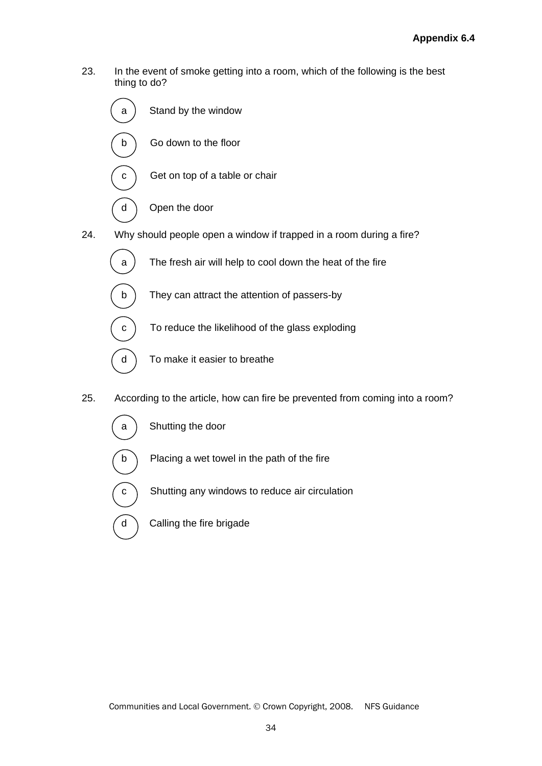23. In the event of smoke getting into a room, which of the following is the best thing to do?



- 25. According to the article, how can fire be prevented from coming into a room?
	- a ) Shutting the door

Í

j

j

- $\mathbf{b}$  Placing a wet towel in the path of the fire
- $c$  Shutting any windows to reduce air circulation
- $\alpha$  Calling the fire brigade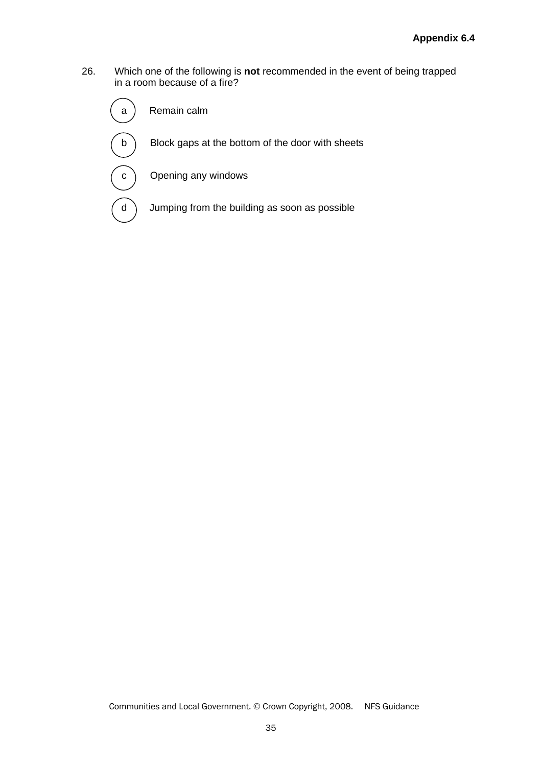26. Which one of the following is **not** recommended in the event of being trapped in a room because of a fire?

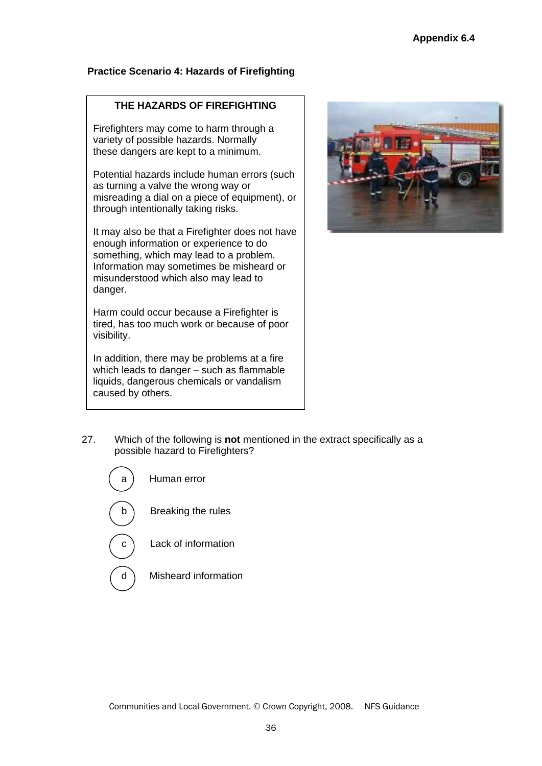## **Practice Scenario 4: Hazards of Firefighting**

### **THE HAZARDS OF FIREFIGHTING**

Firefighters may come to harm through a variety of possible hazards. Normally these dangers are kept to a minimum.

Potential hazards include human errors (such as turning a valve the wrong way or misreading a dial on a piece of equipment), or through intentionally taking risks.

It may also be that a Firefighter does not have enough information or experience to do something, which may lead to a problem. Information may sometimes be misheard or misunderstood which also may lead to danger.

Harm could occur because a Firefighter is tired, has too much work or because of poor visibility.

In addition, there may be problems at a fire which leads to danger – such as flammable liquids, dangerous chemicals or vandalism caused by others.



27. Which of the following is **not** mentioned in the extract specifically as a possible hazard to Firefighters?

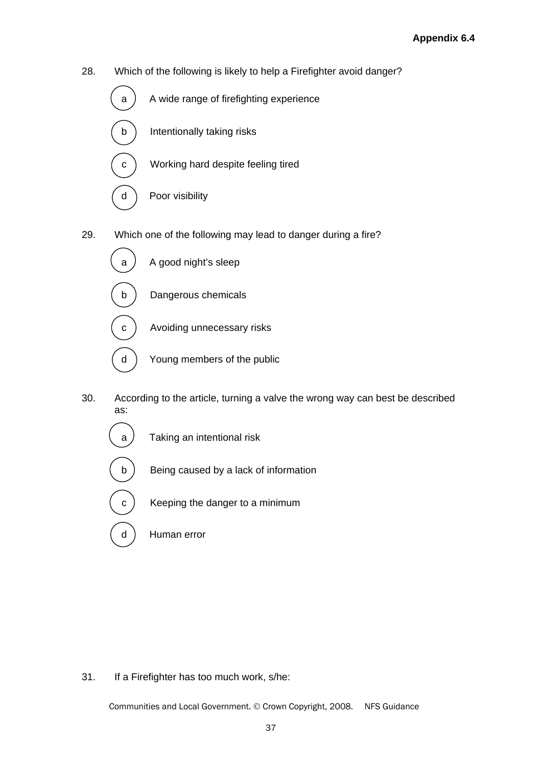28. Which of the following is likely to help a Firefighter avoid danger?



29. Which one of the following may lead to danger during a fire?



- 30. According to the article, turning a valve the wrong way can best be described as:
	- $a$  Taking an intentional risk
	- b ) Being caused by a lack of information
	- $c$ ) Keeping the danger to a minimum
	- d ) Human error

 $\overline{a}$ 

 $\overline{a}$ 

 $\overline{\phantom{a}}$ 

#### 31. If a Firefighter has too much work, s/he: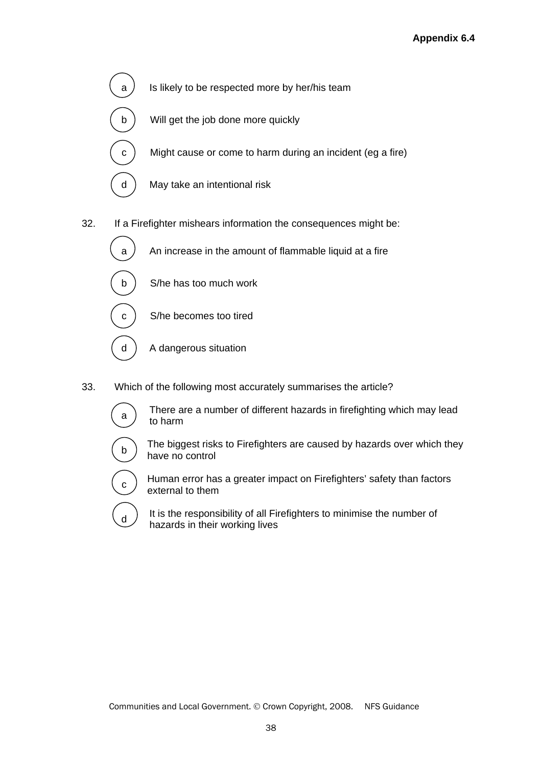

32. If a Firefighter mishears information the consequences might be:



33. Which of the following most accurately summarises the article?



 $\mathsf{a}$  There are a number of different hazards in firefighting which may lead to harm



 $\mathbf{b}$  The biggest risks to Firefighters are caused by hazards over which they have no control



 $\epsilon$ ) Human error has a greater impact on Firefighters' safety than factors external to them

 $\begin{pmatrix} 1 \end{pmatrix}$  It is the responsibility of all Firefighters to minimise the number of hazards in their working lives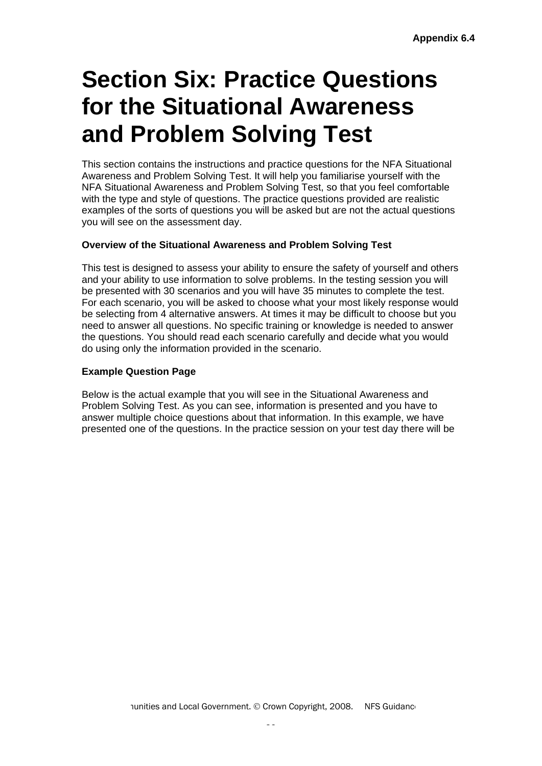## **Section Six: Practice Questions for the Situational Awareness and Problem Solving Test**

This section contains the instructions and practice questions for the NFA Situational Awareness and Problem Solving Test. It will help you familiarise yourself with the NFA Situational Awareness and Problem Solving Test, so that you feel comfortable with the type and style of questions. The practice questions provided are realistic examples of the sorts of questions you will be asked but are not the actual questions you will see on the assessment day.

## **Overview of the Situational Awareness and Problem Solving Test**

This test is designed to assess your ability to ensure the safety of yourself and others and your ability to use information to solve problems. In the testing session you will be presented with 30 scenarios and you will have 35 minutes to complete the test. For each scenario, you will be asked to choose what your most likely response would be selecting from 4 alternative answers. At times it may be difficult to choose but you need to answer all questions. No specific training or knowledge is needed to answer the questions. You should read each scenario carefully and decide what you would do using only the information provided in the scenario.

## **Example Question Page**

Below is the actual example that you will see in the Situational Awareness and Problem Solving Test. As you can see, information is presented and you have to answer multiple choice questions about that information. In this example, we have presented one of the questions. In the practice session on your test day there will be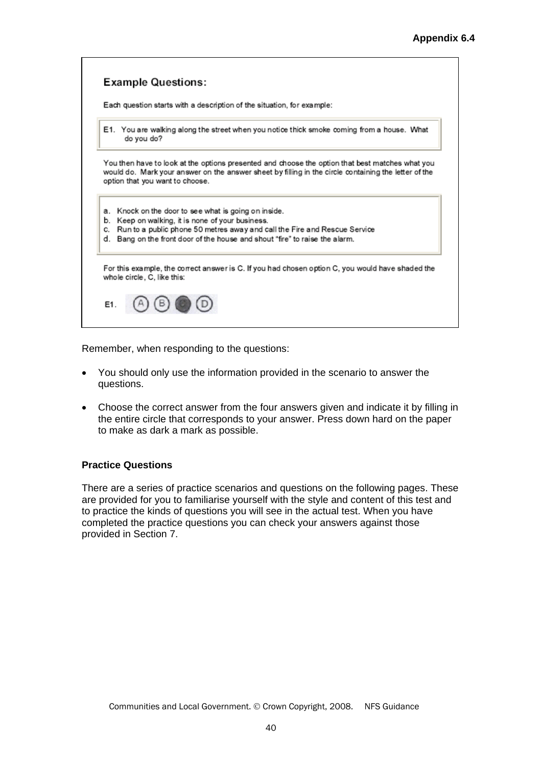

Remember, when responding to the questions:

- You should only use the information provided in the scenario to answer the questions.
- Choose the correct answer from the four answers given and indicate it by filling in the entire circle that corresponds to your answer. Press down hard on the paper to make as dark a mark as possible.

#### **Practice Questions**

There are a series of practice scenarios and questions on the following pages. These are provided for you to familiarise yourself with the style and content of this test and to practice the kinds of questions you will see in the actual test. When you have completed the practice questions you can check your answers against those provided in Section 7.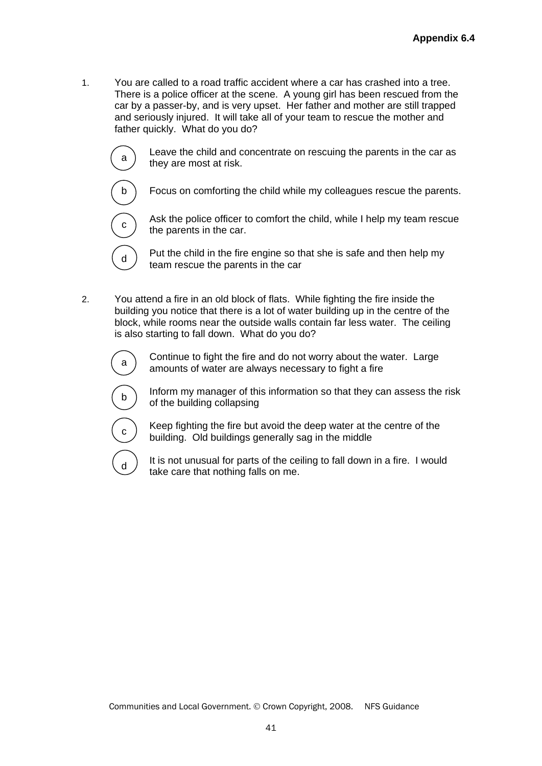1. You are called to a road traffic accident where a car has crashed into a tree. There is a police officer at the scene. A young girl has been rescued from the car by a passer-by, and is very upset. Her father and mother are still trapped and seriously injured. It will take all of your team to rescue the mother and father quickly. What do you do?



 $\mathcal{L}_{\mathbf{a}}$  Leave the child and concentrate on rescuing the parents in the car as they are most at risk.



Focus on comforting the child while my colleagues rescue the parents.



Ask the police officer to comfort the child, while I help my team rescue the parents in the car.



 $\mathbf{d}$  Put the child in the fire engine so that she is safe and then help my team rescue the parents in the car

2. You attend a fire in an old block of flats. While fighting the fire inside the building you notice that there is a lot of water building up in the centre of the block, while rooms near the outside walls contain far less water. The ceiling is also starting to fall down. What do you do?



 $\mathbf{a}$  Continue to fight the fire and do not worry about the water. Large amounts of water are always necessary to fight a fire



 $\mathbf{b}$  Inform my manager of this information so that they can assess the risk of the building collapsing



 $\epsilon$  Keep fighting the fire but avoid the deep water at the centre of the building. Old buildings generally sag in the middle



 $\sigma$ ) It is not unusual for parts of the ceiling to fall down in a fire. I would take care that nothing falls on me.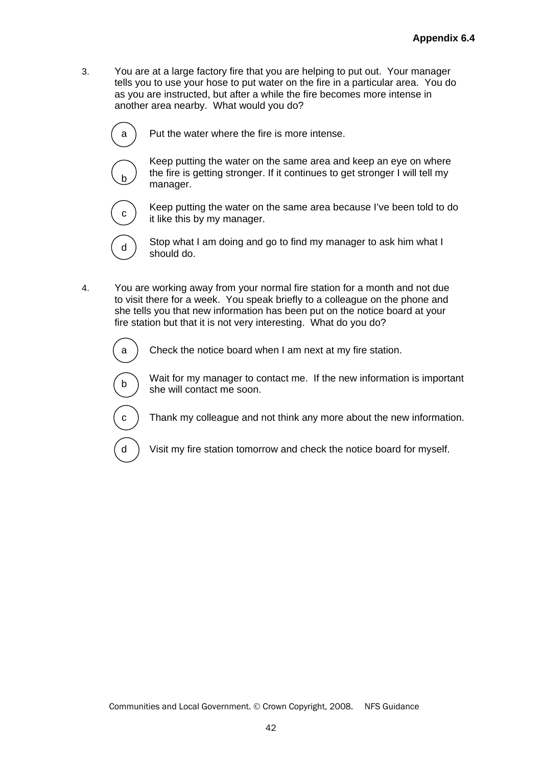3. You are at a large factory fire that you are helping to put out. Your manager tells you to use your hose to put water on the fire in a particular area. You do as you are instructed, but after a while the fire becomes more intense in another area nearby. What would you do?



 $a$ ) Put the water where the fire is more intense.



 Keep putting the water on the same area and keep an eye on where the fire is getting stronger. If it continues to get stronger I will tell my manager.



Keep putting the water on the same area because I've been told to do it like this by my manager.



 $\mathbf{d}$  Stop what I am doing and go to find my manager to ask him what I should do.

4. You are working away from your normal fire station for a month and not due to visit there for a week. You speak briefly to a colleague on the phone and she tells you that new information has been put on the notice board at your fire station but that it is not very interesting. What do you do?



a ) Check the notice board when I am next at my fire station.

 $\begin{bmatrix} 1 \end{bmatrix}$  Wait for my manager to contact me. If the new information is important she will contact me soon.



 $c$ ) Thank my colleague and not think any more about the new information.

d Visit my fire station tomorrow and check the notice board for myself.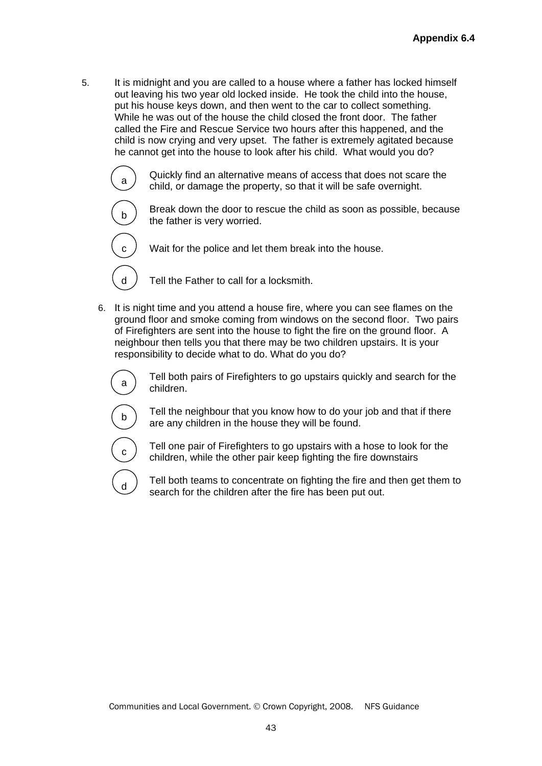5. It is midnight and you are called to a house where a father has locked himself out leaving his two year old locked inside. He took the child into the house, put his house keys down, and then went to the car to collect something. While he was out of the house the child closed the front door. The father called the Fire and Rescue Service two hours after this happened, and the child is now crying and very upset. The father is extremely agitated because he cannot get into the house to look after his child. What would you do?



 $\sigma$  Quickly find an alternative means of access that does not scare the child, or damage the property, so that it will be safe overnight.



 $\overline{a}$ 

 $\mathbf{b}$  Break down the door to rescue the child as soon as possible, because the father is very worried.



 $d$  ) Tell the Father to call for a locksmith.

6. It is night time and you attend a house fire, where you can see flames on the ground floor and smoke coming from windows on the second floor. Two pairs of Firefighters are sent into the house to fight the fire on the ground floor. A neighbour then tells you that there may be two children upstairs. It is your responsibility to decide what to do. What do you do?



 $\sigma$  Tell both pairs of Firefighters to go upstairs quickly and search for the children.



 $\mathsf{b}$  Tell the neighbour that you know how to do your job and that if there are any children in the house they will be found.



 $\begin{bmatrix}c\end{bmatrix}$  Tell one pair of Firefighters to go upstairs with a hose to look for the children, while the other pair keep fighting the fire downstairs

 $\sigma$ ) Tell both teams to concentrate on fighting the fire and then get them to search for the children after the fire has been put out.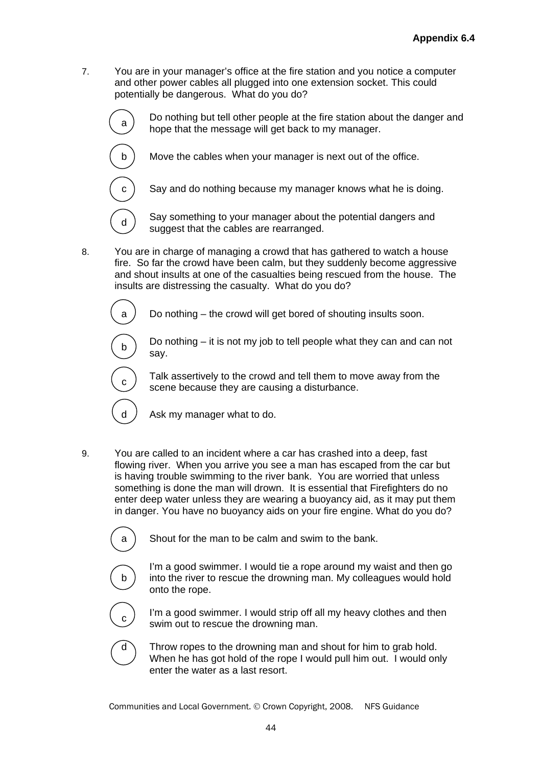7. You are in your manager's office at the fire station and you notice a computer and other power cables all plugged into one extension socket. This could potentially be dangerous. What do you do?



a) Do nothing but tell other people at the fire station about the danger and hope that the message will get back to my manager.



 $\mathbf{d}$  Say something to your manager about the potential dangers and suggest that the cables are rearranged.

8. You are in charge of managing a crowd that has gathered to watch a house fire. So far the crowd have been calm, but they suddenly become aggressive and shout insults at one of the casualties being rescued from the house. The insults are distressing the casualty. What do you do?

 $a$  Do nothing – the crowd will get bored of shouting insults soon.



-

<sup>b</sup>Do nothing – it is not my job to tell people what they can and can not say.

Talk assertively to the crowd and tell them to move away from the scene because they are causing a disturbance.

 $d$  / Ask my manager what to do.

9. You are called to an incident where a car has crashed into a deep, fast flowing river. When you arrive you see a man has escaped from the car but is having trouble swimming to the river bank. You are worried that unless something is done the man will drown. It is essential that Firefighters do no enter deep water unless they are wearing a buoyancy aid, as it may put them in danger. You have no buoyancy aids on your fire engine. What do you do?



a  $\,$  Shout for the man to be calm and swim to the bank.



 I'm a good swimmer. I would tie a rope around my waist and then go into the river to rescue the drowning man. My colleagues would hold onto the rope.



 $\sigma$ ) I'm a good swimmer. I would strip off all my heavy clothes and then swim out to rescue the drowning man.



 $d \setminus$  Throw ropes to the drowning man and shout for him to grab hold. When he has got hold of the rope I would pull him out. I would only enter the water as a last resort.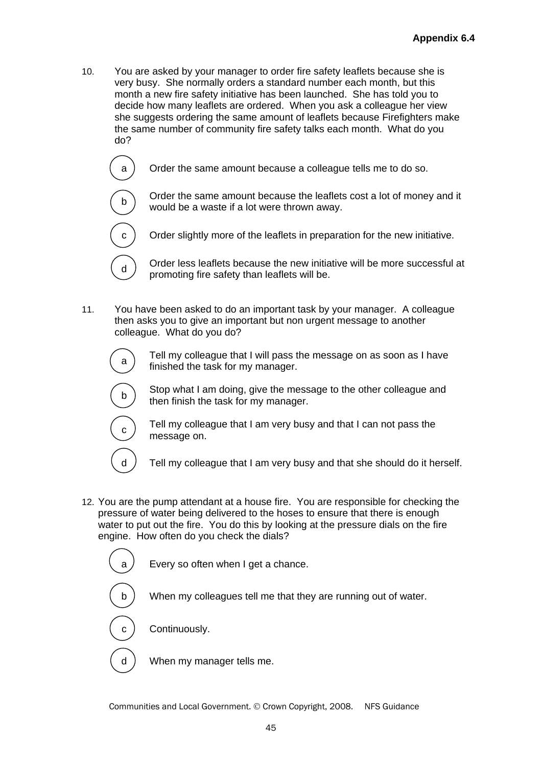- 10. You are asked by your manager to order fire safety leaflets because she is very busy. She normally orders a standard number each month, but this month a new fire safety initiative has been launched. She has told you to decide how many leaflets are ordered. When you ask a colleague her view she suggests ordering the same amount of leaflets because Firefighters make the same number of community fire safety talks each month. What do you do?
	- a ) Order the same amount because a colleague tells me to do so.



 $\begin{bmatrix} b \end{bmatrix}$  Order the same amount because the leaflets cost a lot of money and it would be a waste if a lot were thrown away.

Order slightly more of the leaflets in preparation for the new initiative.

 $\mathbf{d}$  Order less leaflets because the new initiative will be more successful at promoting fire safety than leaflets will be.

11. You have been asked to do an important task by your manager. A colleague then asks you to give an important but non urgent message to another colleague. What do you do?



 $\mathcal{F}_{\mathbf{a}}$  Tell my colleague that I will pass the message on as soon as I have finished the task for my manager.



Stop what I am doing, give the message to the other colleague and then finish the task for my manager.



 $\overline{a}$ 

 $\overline{\phantom{a}}$ 

 $\overline{a}$ 

 $\begin{bmatrix} 1 & 1 \end{bmatrix}$  Tell my colleague that I am very busy and that I can not pass the message on.

d  $\overline{a}$  Tell my colleague that I am very busy and that she should do it herself.

12. You are the pump attendant at a house fire. You are responsible for checking the pressure of water being delivered to the hoses to ensure that there is enough water to put out the fire. You do this by looking at the pressure dials on the fire engine. How often do you check the dials?

 $a$   $\ell$  Every so often when I get a chance.

b ) When my colleagues tell me that they are running out of water.

c ) Continuously.

d When my manager tells me.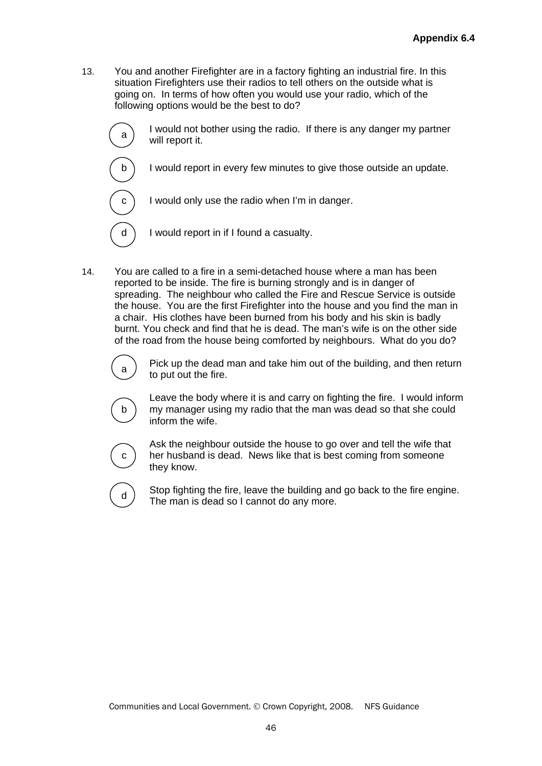13. You and another Firefighter are in a factory fighting an industrial fire. In this situation Firefighters use their radios to tell others on the outside what is going on. In terms of how often you would use your radio, which of the following options would be the best to do?



a I would not bother using the radio. If there is any danger my partner will report it.

b I would report in every few minutes to give those outside an update.

 $c$  I would only use the radio when I'm in danger.

 $d \nvert$  I would report in if I found a casualty.

14. You are called to a fire in a semi-detached house where a man has been reported to be inside. The fire is burning strongly and is in danger of spreading. The neighbour who called the Fire and Rescue Service is outside the house. You are the first Firefighter into the house and you find the man in a chair. His clothes have been burned from his body and his skin is badly burnt. You check and find that he is dead. The man's wife is on the other side of the road from the house being comforted by neighbours. What do you do?



a  $\sum_{n=1}^{\infty}$  Pick up the dead man and take him out of the building, and then return to put out the fire.



 Leave the body where it is and carry on fighting the fire. I would inform my manager using my radio that the man was dead so that she could inform the wife.



 Ask the neighbour outside the house to go over and tell the wife that her husband is dead. News like that is best coming from someone they know.



 $\mathbf{d}$  Stop fighting the fire, leave the building and go back to the fire engine. The man is dead so I cannot do any more.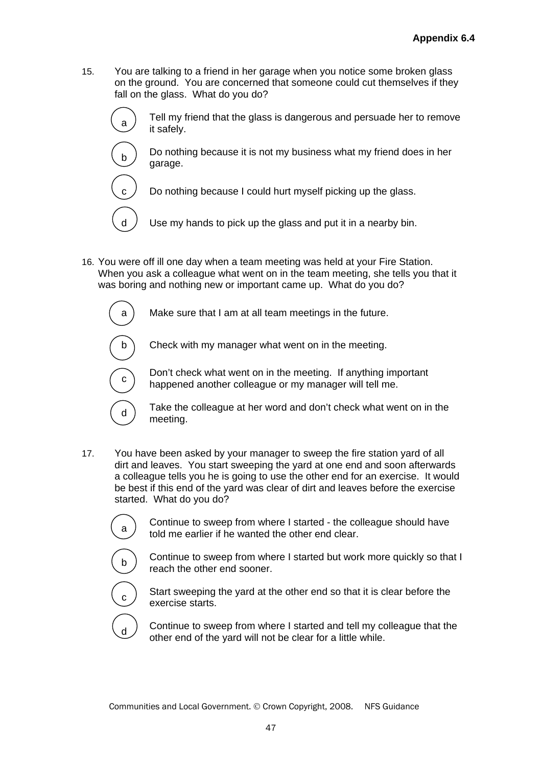15. You are talking to a friend in her garage when you notice some broken glass on the ground. You are concerned that someone could cut themselves if they fall on the glass. What do you do?



garage.

it safely. Do nothing because it is not my business what my friend does in her

 $\sigma$  Tell my friend that the glass is dangerous and persuade her to remove

 $\epsilon$  Do nothing because I could hurt myself picking up the glass.

 $d \neq 0$  Use my hands to pick up the glass and put it in a nearby bin.

16. You were off ill one day when a team meeting was held at your Fire Station. When you ask a colleague what went on in the team meeting, she tells you that it was boring and nothing new or important came up. What do you do?

 $a$ ) Make sure that I am at all team meetings in the future.

٦ Í

 $\overline{\phantom{a}}$ 

 $b \cap C$  Check with my manager what went on in the meeting.

Don't check what went on in the meeting. If anything important happened another colleague or my manager will tell me.



17. You have been asked by your manager to sweep the fire station yard of all dirt and leaves. You start sweeping the yard at one end and soon afterwards a colleague tells you he is going to use the other end for an exercise. It would be best if this end of the yard was clear of dirt and leaves before the exercise started. What do you do?



 $\alpha$  Continue to sweep from where I started - the colleague should have told me earlier if he wanted the other end clear.



 $\mathbf{b}$ ) Continue to sweep from where I started but work more quickly so that I reach the other end sooner.



 $\sigma$ ) Start sweeping the yard at the other end so that it is clear before the exercise starts.



 $\sigma$  Continue to sweep from where I started and tell my colleague that the other end of the yard will not be clear for a little while.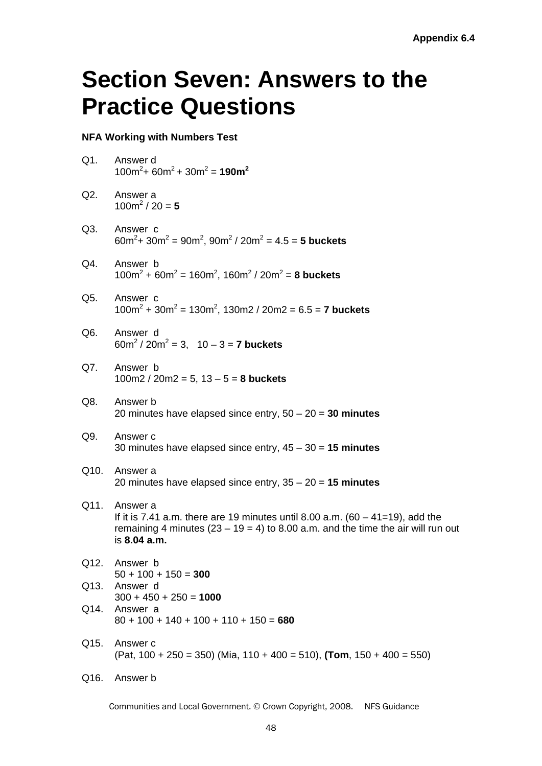## **Section Seven: Answers to the Practice Questions**

### **NFA Working with Numbers Test**

| Q1.            | Answer d<br>$100m^{2}$ + 60m <sup>2</sup> + 30m <sup>2</sup> = 190m <sup>2</sup>                                                                                                                   |
|----------------|----------------------------------------------------------------------------------------------------------------------------------------------------------------------------------------------------|
| Q2.            | Answer a<br>$100m^2/20 = 5$                                                                                                                                                                        |
| Q3.            | Answer c<br>$60m^2$ + 30m <sup>2</sup> = 90m <sup>2</sup> , 90m <sup>2</sup> / 20m <sup>2</sup> = 4.5 = 5 buckets                                                                                  |
| Q4.            | Answer b<br>$100m^2 + 60m^2 = 160m^2$ , $160m^2 / 20m^2 = 8$ buckets                                                                                                                               |
| Q5.            | Answer c<br>$100m^2 + 30m^2 = 130m^2$ , 130m2 / 20m2 = 6.5 = 7 buckets                                                                                                                             |
| Q <sub>6</sub> | Answer d<br>$60m^2/20m^2 = 3$ , $10-3 = 7$ buckets                                                                                                                                                 |
| Q7.            | Answer b<br>$100m2 / 20m2 = 5$ , $13 - 5 = 8$ buckets                                                                                                                                              |
| Q8.            | Answer b<br>20 minutes have elapsed since entry, $50 - 20 = 30$ minutes                                                                                                                            |
| Q9.            | Answer c<br>30 minutes have elapsed since entry, $45 - 30 = 15$ minutes                                                                                                                            |
| Q10.           | Answer a<br>20 minutes have elapsed since entry, $35 - 20 = 15$ minutes                                                                                                                            |
| Q11.           | Answer a<br>If it is 7.41 a.m. there are 19 minutes until 8.00 a.m. $(60 - 41=19)$ , add the<br>remaining 4 minutes $(23 - 19 = 4)$ to 8.00 a.m. and the time the air will run out<br>is 8.04 a.m. |
| Q12.           | Answer b<br>$50 + 100 + 150 = 300$                                                                                                                                                                 |
| Q13.           | Answer d<br>$300 + 450 + 250 = 1000$                                                                                                                                                               |
| Q14.           | Answer a<br>$80 + 100 + 140 + 100 + 110 + 150 = 680$                                                                                                                                               |
| Q15.           | Answer c<br>$(Pat, 100 + 250 = 350)$ (Mia, 110 + 400 = 510), (Tom, 150 + 400 = 550)                                                                                                                |
| Q16.           | Answer b                                                                                                                                                                                           |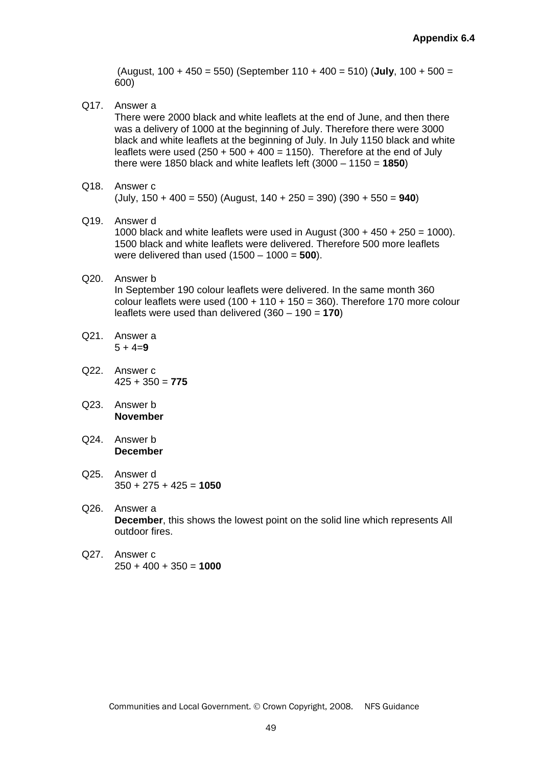(August, 100 + 450 = 550) (September 110 + 400 = 510) (**July**, 100 + 500 = 600)

Q17. Answer a

There were 2000 black and white leaflets at the end of June, and then there was a delivery of 1000 at the beginning of July. Therefore there were 3000 black and white leaflets at the beginning of July. In July 1150 black and white leaflets were used  $(250 + 500 + 400 = 1150)$ . Therefore at the end of July there were 1850 black and white leaflets left (3000 – 1150 = **1850**)

- Q18. Answer c (July, 150 + 400 = 550) (August, 140 + 250 = 390) (390 + 550 = **940**)
- Q19. Answer d 1000 black and white leaflets were used in August  $(300 + 450 + 250 = 1000)$ . 1500 black and white leaflets were delivered. Therefore 500 more leaflets were delivered than used (1500 – 1000 = **500**).

## Q20. Answer b

In September 190 colour leaflets were delivered. In the same month 360 colour leaflets were used  $(100 + 110 + 150 = 360)$ . Therefore 170 more colour leaflets were used than delivered (360 – 190 = **170**)

- Q21. Answer a  $5 + 4 = 9$
- Q22. Answer c 425 + 350 = **775**
- Q23. Answer b **November**
- Q24. Answer b **December**
- Q25. Answer d 350 + 275 + 425 = **1050**
- Q26. Answer a **December**, this shows the lowest point on the solid line which represents All outdoor fires.
- Q27. Answer c 250 + 400 + 350 = **1000**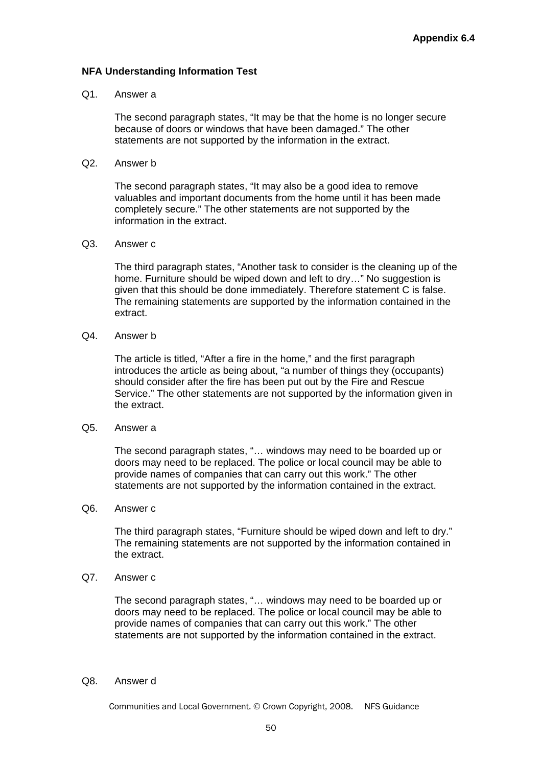#### **NFA Understanding Information Test**

#### Q1. Answer a

The second paragraph states, "It may be that the home is no longer secure because of doors or windows that have been damaged." The other statements are not supported by the information in the extract.

Q2. Answer b

The second paragraph states, "It may also be a good idea to remove valuables and important documents from the home until it has been made completely secure." The other statements are not supported by the information in the extract.

#### Q3. Answer c

The third paragraph states, "Another task to consider is the cleaning up of the home. Furniture should be wiped down and left to dry..." No suggestion is given that this should be done immediately. Therefore statement C is false. The remaining statements are supported by the information contained in the extract.

Q4. Answer b

The article is titled, "After a fire in the home," and the first paragraph introduces the article as being about, "a number of things they (occupants) should consider after the fire has been put out by the Fire and Rescue Service." The other statements are not supported by the information given in the extract.

#### Q5. Answer a

The second paragraph states, "… windows may need to be boarded up or doors may need to be replaced. The police or local council may be able to provide names of companies that can carry out this work." The other statements are not supported by the information contained in the extract.

Q6. Answer c

The third paragraph states, "Furniture should be wiped down and left to dry." The remaining statements are not supported by the information contained in the extract.

Q7. Answer c

The second paragraph states, "… windows may need to be boarded up or doors may need to be replaced. The police or local council may be able to provide names of companies that can carry out this work." The other statements are not supported by the information contained in the extract.

Q8. Answer d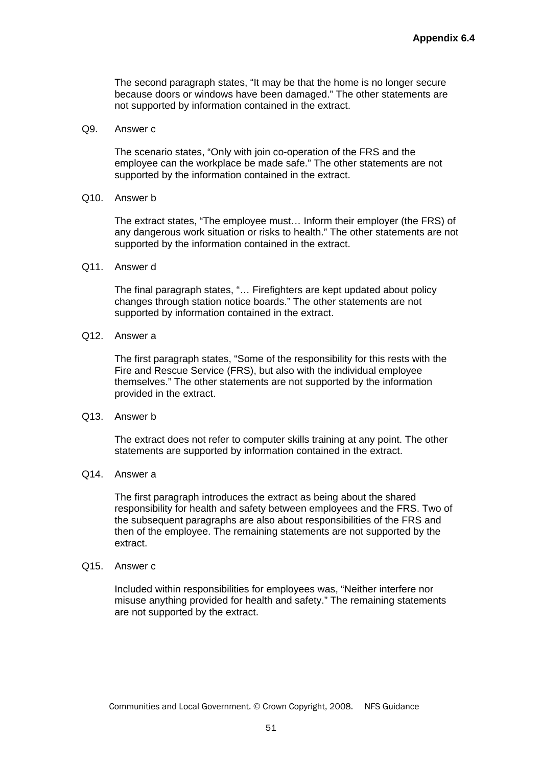The second paragraph states, "It may be that the home is no longer secure because doors or windows have been damaged." The other statements are not supported by information contained in the extract.

Q9. Answer c

The scenario states, "Only with join co-operation of the FRS and the employee can the workplace be made safe." The other statements are not supported by the information contained in the extract.

Q10. Answer b

The extract states, "The employee must… Inform their employer (the FRS) of any dangerous work situation or risks to health." The other statements are not supported by the information contained in the extract.

Q11. Answer d

The final paragraph states, "… Firefighters are kept updated about policy changes through station notice boards." The other statements are not supported by information contained in the extract.

Q12. Answer a

The first paragraph states, "Some of the responsibility for this rests with the Fire and Rescue Service (FRS), but also with the individual employee themselves." The other statements are not supported by the information provided in the extract.

Q13. Answer b

The extract does not refer to computer skills training at any point. The other statements are supported by information contained in the extract.

Q14. Answer a

The first paragraph introduces the extract as being about the shared responsibility for health and safety between employees and the FRS. Two of the subsequent paragraphs are also about responsibilities of the FRS and then of the employee. The remaining statements are not supported by the extract.

Q15. Answer c

Included within responsibilities for employees was, "Neither interfere nor misuse anything provided for health and safety." The remaining statements are not supported by the extract.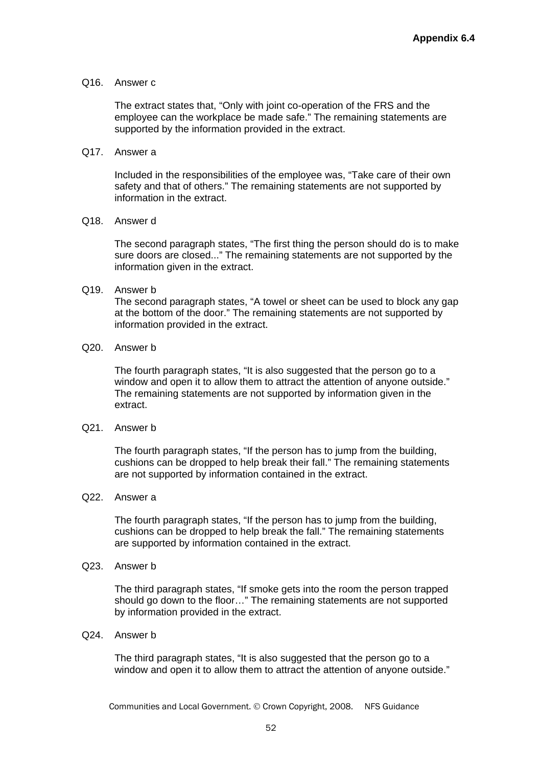#### Q16. Answer c

The extract states that, "Only with joint co-operation of the FRS and the employee can the workplace be made safe." The remaining statements are supported by the information provided in the extract.

#### Q17. Answer a

Included in the responsibilities of the employee was, "Take care of their own safety and that of others." The remaining statements are not supported by information in the extract.

#### Q18. Answer d

 The second paragraph states, "The first thing the person should do is to make sure doors are closed..." The remaining statements are not supported by the information given in the extract.

#### Q19. Answer b

The second paragraph states, "A towel or sheet can be used to block any gap at the bottom of the door." The remaining statements are not supported by information provided in the extract.

#### Q20. Answer b

The fourth paragraph states, "It is also suggested that the person go to a window and open it to allow them to attract the attention of anyone outside." The remaining statements are not supported by information given in the extract.

#### Q21. Answer b

The fourth paragraph states, "If the person has to jump from the building, cushions can be dropped to help break their fall." The remaining statements are not supported by information contained in the extract.

### Q22. Answer a

The fourth paragraph states, "If the person has to jump from the building, cushions can be dropped to help break the fall." The remaining statements are supported by information contained in the extract.

Q23. Answer b

The third paragraph states, "If smoke gets into the room the person trapped should go down to the floor…" The remaining statements are not supported by information provided in the extract.

Q24. Answer b

The third paragraph states, "It is also suggested that the person go to a window and open it to allow them to attract the attention of anyone outside."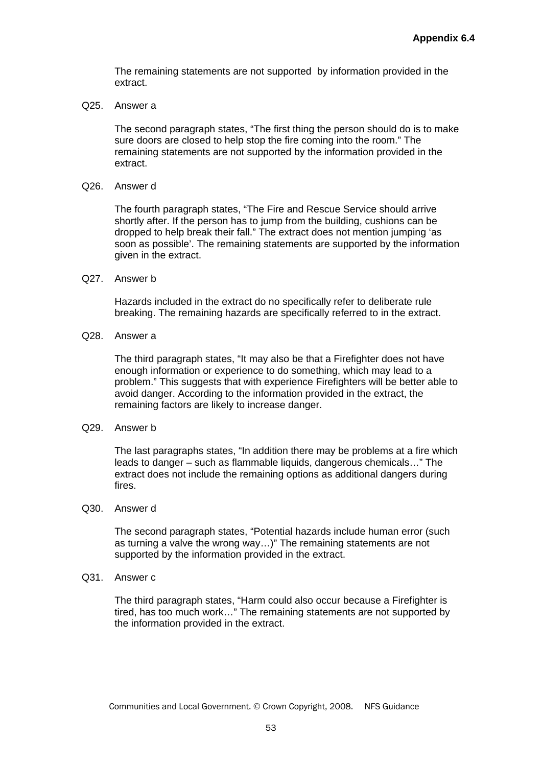The remaining statements are not supported by information provided in the extract.

Q25. Answer a

The second paragraph states, "The first thing the person should do is to make sure doors are closed to help stop the fire coming into the room." The remaining statements are not supported by the information provided in the extract.

Q26. Answer d

The fourth paragraph states, "The Fire and Rescue Service should arrive shortly after. If the person has to jump from the building, cushions can be dropped to help break their fall." The extract does not mention jumping 'as soon as possible'. The remaining statements are supported by the information given in the extract.

Q27. Answer b

Hazards included in the extract do no specifically refer to deliberate rule breaking. The remaining hazards are specifically referred to in the extract.

Q28. Answer a

The third paragraph states, "It may also be that a Firefighter does not have enough information or experience to do something, which may lead to a problem." This suggests that with experience Firefighters will be better able to avoid danger. According to the information provided in the extract, the remaining factors are likely to increase danger.

#### Q29. Answer b

The last paragraphs states, "In addition there may be problems at a fire which leads to danger – such as flammable liquids, dangerous chemicals…" The extract does not include the remaining options as additional dangers during fires.

Q30. Answer d

The second paragraph states, "Potential hazards include human error (such as turning a valve the wrong way…)" The remaining statements are not supported by the information provided in the extract.

Q31. Answer c

The third paragraph states, "Harm could also occur because a Firefighter is tired, has too much work…" The remaining statements are not supported by the information provided in the extract.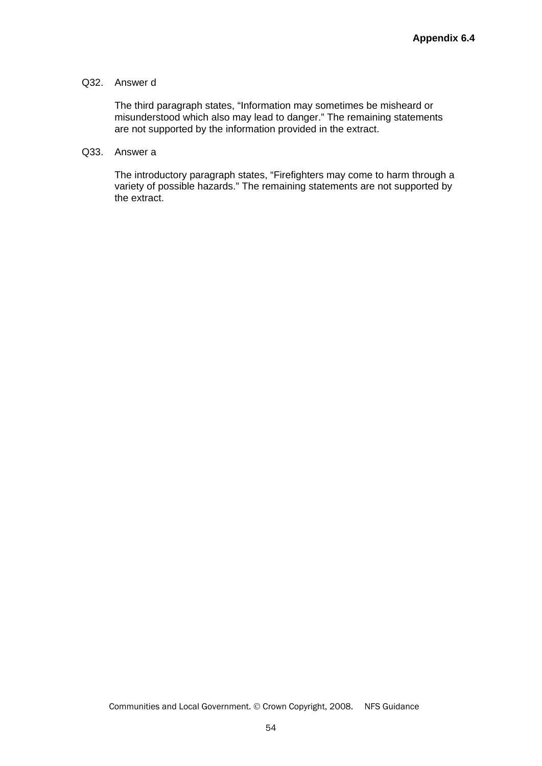#### Q32. Answer d

The third paragraph states, "Information may sometimes be misheard or misunderstood which also may lead to danger." The remaining statements are not supported by the information provided in the extract.

#### Q33. Answer a

The introductory paragraph states, "Firefighters may come to harm through a variety of possible hazards." The remaining statements are not supported by the extract.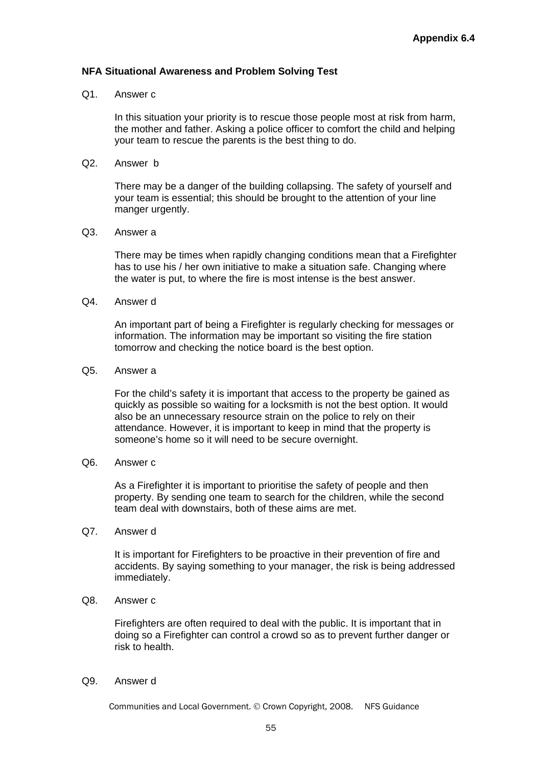#### **NFA Situational Awareness and Problem Solving Test**

#### Q1. Answer c

In this situation your priority is to rescue those people most at risk from harm, the mother and father. Asking a police officer to comfort the child and helping your team to rescue the parents is the best thing to do.

Q2. Answer b

There may be a danger of the building collapsing. The safety of yourself and your team is essential; this should be brought to the attention of your line manger urgently.

#### Q3. Answer a

There may be times when rapidly changing conditions mean that a Firefighter has to use his / her own initiative to make a situation safe. Changing where the water is put, to where the fire is most intense is the best answer.

Q4. Answer d

An important part of being a Firefighter is regularly checking for messages or information. The information may be important so visiting the fire station tomorrow and checking the notice board is the best option.

#### Q5. Answer a

For the child's safety it is important that access to the property be gained as quickly as possible so waiting for a locksmith is not the best option. It would also be an unnecessary resource strain on the police to rely on their attendance. However, it is important to keep in mind that the property is someone's home so it will need to be secure overnight.

#### Q6. Answer c

As a Firefighter it is important to prioritise the safety of people and then property. By sending one team to search for the children, while the second team deal with downstairs, both of these aims are met.

Q7. Answer d

It is important for Firefighters to be proactive in their prevention of fire and accidents. By saying something to your manager, the risk is being addressed immediately.

#### Q8. Answer c

Firefighters are often required to deal with the public. It is important that in doing so a Firefighter can control a crowd so as to prevent further danger or risk to health.

Q9. Answer d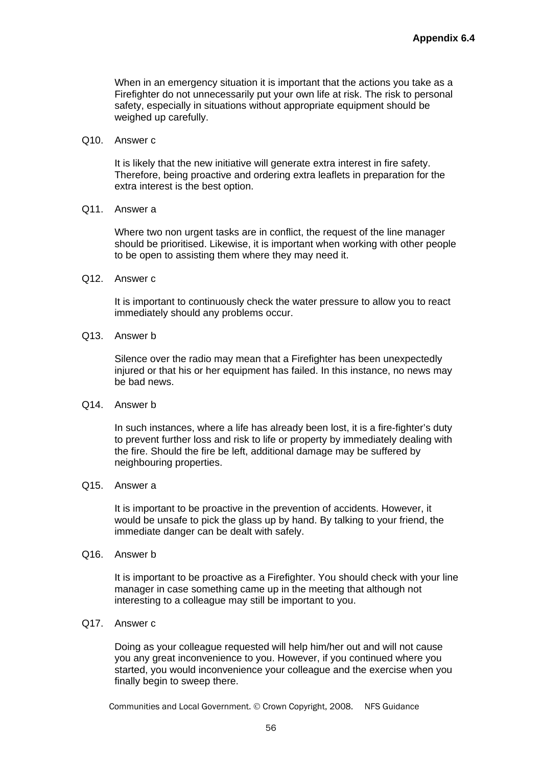When in an emergency situation it is important that the actions you take as a Firefighter do not unnecessarily put your own life at risk. The risk to personal safety, especially in situations without appropriate equipment should be weighed up carefully.

Q10. Answer c

It is likely that the new initiative will generate extra interest in fire safety. Therefore, being proactive and ordering extra leaflets in preparation for the extra interest is the best option.

Q11. Answer a

Where two non urgent tasks are in conflict, the request of the line manager should be prioritised. Likewise, it is important when working with other people to be open to assisting them where they may need it.

Q12. Answer c

It is important to continuously check the water pressure to allow you to react immediately should any problems occur.

Q13. Answer b

Silence over the radio may mean that a Firefighter has been unexpectedly injured or that his or her equipment has failed. In this instance, no news may be bad news.

Q14. Answer b

In such instances, where a life has already been lost, it is a fire-fighter's duty to prevent further loss and risk to life or property by immediately dealing with the fire. Should the fire be left, additional damage may be suffered by neighbouring properties.

Q15. Answer a

It is important to be proactive in the prevention of accidents. However, it would be unsafe to pick the glass up by hand. By talking to your friend, the immediate danger can be dealt with safely.

Q16. Answer b

It is important to be proactive as a Firefighter. You should check with your line manager in case something came up in the meeting that although not interesting to a colleague may still be important to you.

Q17. Answer c

Doing as your colleague requested will help him/her out and will not cause you any great inconvenience to you. However, if you continued where you started, you would inconvenience your colleague and the exercise when you finally begin to sweep there.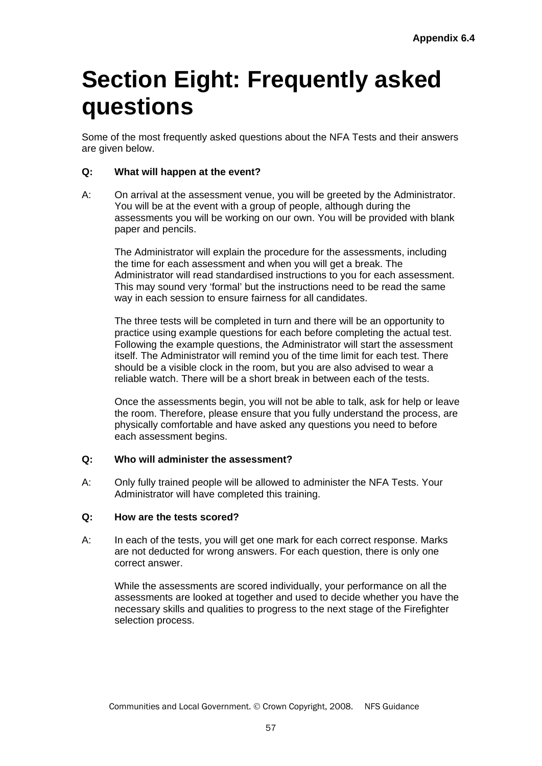## **Section Eight: Frequently asked questions**

Some of the most frequently asked questions about the NFA Tests and their answers are given below.

## **Q: What will happen at the event?**

A: On arrival at the assessment venue, you will be greeted by the Administrator. You will be at the event with a group of people, although during the assessments you will be working on our own. You will be provided with blank paper and pencils.

The Administrator will explain the procedure for the assessments, including the time for each assessment and when you will get a break. The Administrator will read standardised instructions to you for each assessment. This may sound very 'formal' but the instructions need to be read the same way in each session to ensure fairness for all candidates.

The three tests will be completed in turn and there will be an opportunity to practice using example questions for each before completing the actual test. Following the example questions, the Administrator will start the assessment itself. The Administrator will remind you of the time limit for each test. There should be a visible clock in the room, but you are also advised to wear a reliable watch. There will be a short break in between each of the tests.

Once the assessments begin, you will not be able to talk, ask for help or leave the room. Therefore, please ensure that you fully understand the process, are physically comfortable and have asked any questions you need to before each assessment begins.

#### **Q: Who will administer the assessment?**

A: Only fully trained people will be allowed to administer the NFA Tests. Your Administrator will have completed this training.

#### **Q: How are the tests scored?**

A: In each of the tests, you will get one mark for each correct response. Marks are not deducted for wrong answers. For each question, there is only one correct answer.

While the assessments are scored individually, your performance on all the assessments are looked at together and used to decide whether you have the necessary skills and qualities to progress to the next stage of the Firefighter selection process.